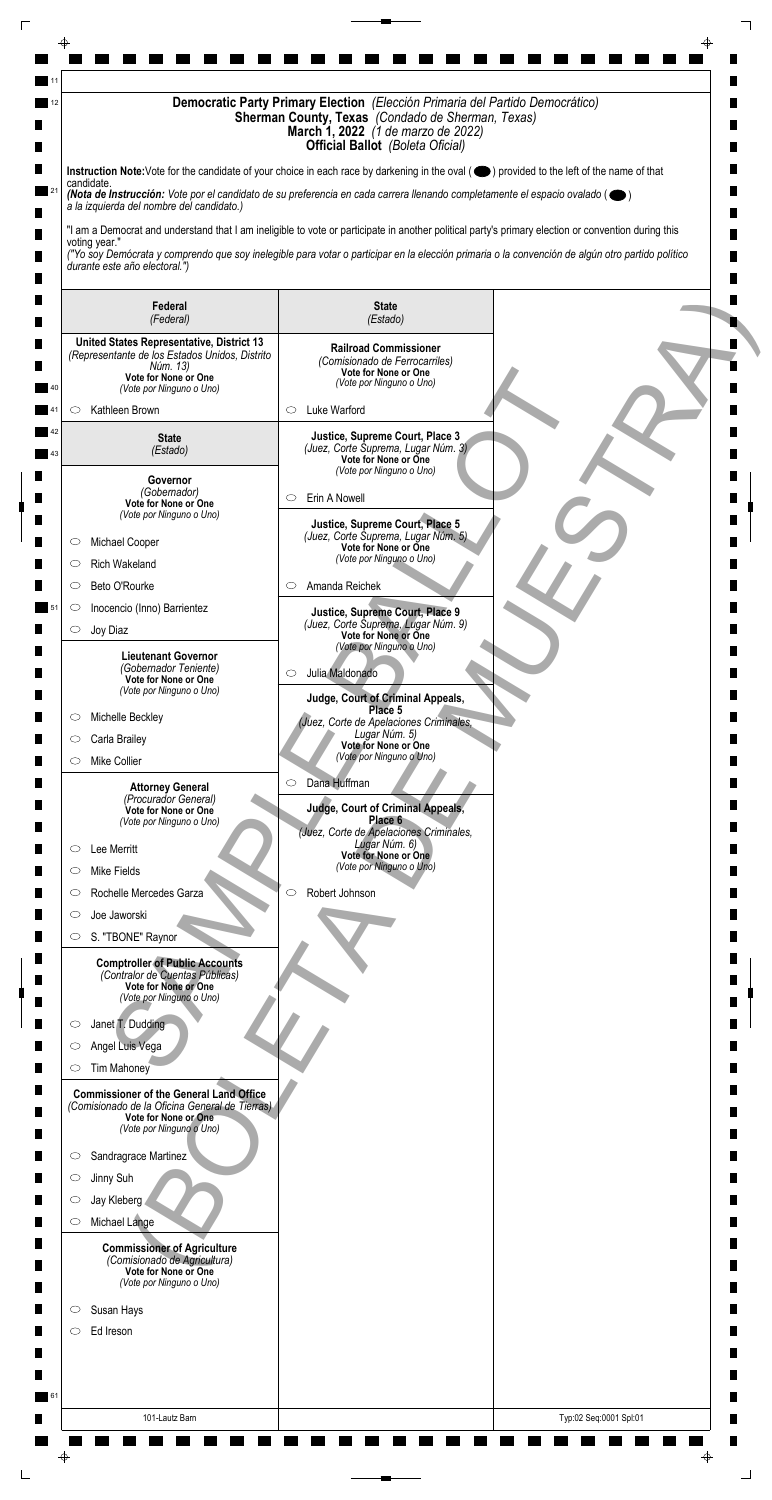| Instruction Note: Vote for the candidate of your choice in each race by darkening in the oval (O) provided to the left of the name of that<br>candidate.<br>(Nota de Instrucción: Vote por el candidato de su preferencia en cada carrera llenando completamente el espacio ovalado ( $\bullet$ )<br>a la izquierda del nombre del candidato.)<br>"I am a Democrat and understand that I am ineligible to vote or participate in another political party's primary election or convention during this<br>voting year."<br>("Yo soy Demócrata y comprendo que soy inelegible para votar o participar en la elección primaria o la convención de algún otro partido político<br>durante este año electoral.")<br>Federal<br><b>State</b><br>(Federal)<br>(Estado)<br>United States Representative, District 13<br><b>Railroad Commissioner</b><br>(Representante de los Estados Unidos, Distrito<br>(Comisionado de Ferrocarriles)<br>Núm. 13)<br>Vote for None or One<br>Vote for None or One<br>(Vote por Ninguno o Uno)<br>(Vote por Ninguno o Uno)<br>Kathleen Brown<br>Luke Warford<br>O<br>O<br>Justice, Supreme Court, Place 3<br><b>State</b><br>(Juez, Corte Suprema, Lugar Núm. 3)<br>(Estado)<br>Vote for None or One<br>(Vote por Ninguno o Uno)<br>Governor<br>(Gobernador)<br>Erin A Nowell<br>$\circ$<br>Vote for None or One<br>(Vote por Ninguno o Uno)<br>Justice, Supreme Court, Place 5<br>(Juez, Corte Suprema, Lugar Núm. 5).<br>Michael Cooper<br>Vote for None or One<br>(Vote por Ninguno o Uno)<br><b>Rich Wakeland</b><br>O<br>Beto O'Rourke<br>Amanda Reichek<br>$\circlearrowright$<br>$\circ$<br>Inocencio (Inno) Barrientez<br>$\circ$<br>Justice, Supreme Court, Place 9<br>(Juez, Corte Suprema, Lugar Núm. 9)<br>Joy Diaz<br>$\circ$<br>Vote for None or One<br>(Vote por Ninguno o Uno)<br><b>Lieutenant Governor</b><br>(Gobernador Teniente)<br>Julia Maldonado<br>$\circ$<br>Vote for None or One<br>(Vote por Ninguno o Uno)<br>Judge, Court of Criminal Appeals,<br>Place 5<br>Michelle Beckley<br>$\circ$<br>Uuez, Corte de Apelaciones Criminales,<br>Lugar Núm. 5)<br>Carla Brailey<br>$\circ$<br>Vote for None or One<br>(Vote por Ninguno o Uno)<br><b>Mike Collier</b><br>O<br>Dana Huffman<br>$\circlearrowright$<br><b>Attorney General</b><br>(Procurador General)<br><b>Judge, Court of Criminal Appeals,</b><br>Vote for None or One<br>Place 6<br>(Vote por Ninguno o Uno)<br>(Juez, Corte de Apelaciones Criminales,<br>Lugar Núm. 6)<br>Lee Merritt<br>O<br>Vote for None or One<br>(Vote por Ninguno o Uno)<br><b>Mike Fields</b><br>O<br>Rochelle Mercedes Garza<br>Robert Johnson<br>$\circlearrowright$<br>$\circ$<br>Joe Jaworski<br>$\circ$<br>S. "TBONE" Raynor<br>O<br><b>Comptroller of Public Accounts</b><br>(Contralor de Cuentas Públicas)<br>Vote for None or One<br>(Vote por Ninguno o Uno) |  |
|-----------------------------------------------------------------------------------------------------------------------------------------------------------------------------------------------------------------------------------------------------------------------------------------------------------------------------------------------------------------------------------------------------------------------------------------------------------------------------------------------------------------------------------------------------------------------------------------------------------------------------------------------------------------------------------------------------------------------------------------------------------------------------------------------------------------------------------------------------------------------------------------------------------------------------------------------------------------------------------------------------------------------------------------------------------------------------------------------------------------------------------------------------------------------------------------------------------------------------------------------------------------------------------------------------------------------------------------------------------------------------------------------------------------------------------------------------------------------------------------------------------------------------------------------------------------------------------------------------------------------------------------------------------------------------------------------------------------------------------------------------------------------------------------------------------------------------------------------------------------------------------------------------------------------------------------------------------------------------------------------------------------------------------------------------------------------------------------------------------------------------------------------------------------------------------------------------------------------------------------------------------------------------------------------------------------------------------------------------------------------------------------------------------------------------------------------------------------------------------------------------------------------------------------------------------------------------------------------------------------------------------------------------------------------------------------------------------------------------------------------------------------------------------------------------------------------------------------------------------------|--|
|                                                                                                                                                                                                                                                                                                                                                                                                                                                                                                                                                                                                                                                                                                                                                                                                                                                                                                                                                                                                                                                                                                                                                                                                                                                                                                                                                                                                                                                                                                                                                                                                                                                                                                                                                                                                                                                                                                                                                                                                                                                                                                                                                                                                                                                                                                                                                                                                                                                                                                                                                                                                                                                                                                                                                                                                                                                                 |  |
|                                                                                                                                                                                                                                                                                                                                                                                                                                                                                                                                                                                                                                                                                                                                                                                                                                                                                                                                                                                                                                                                                                                                                                                                                                                                                                                                                                                                                                                                                                                                                                                                                                                                                                                                                                                                                                                                                                                                                                                                                                                                                                                                                                                                                                                                                                                                                                                                                                                                                                                                                                                                                                                                                                                                                                                                                                                                 |  |
|                                                                                                                                                                                                                                                                                                                                                                                                                                                                                                                                                                                                                                                                                                                                                                                                                                                                                                                                                                                                                                                                                                                                                                                                                                                                                                                                                                                                                                                                                                                                                                                                                                                                                                                                                                                                                                                                                                                                                                                                                                                                                                                                                                                                                                                                                                                                                                                                                                                                                                                                                                                                                                                                                                                                                                                                                                                                 |  |
|                                                                                                                                                                                                                                                                                                                                                                                                                                                                                                                                                                                                                                                                                                                                                                                                                                                                                                                                                                                                                                                                                                                                                                                                                                                                                                                                                                                                                                                                                                                                                                                                                                                                                                                                                                                                                                                                                                                                                                                                                                                                                                                                                                                                                                                                                                                                                                                                                                                                                                                                                                                                                                                                                                                                                                                                                                                                 |  |
|                                                                                                                                                                                                                                                                                                                                                                                                                                                                                                                                                                                                                                                                                                                                                                                                                                                                                                                                                                                                                                                                                                                                                                                                                                                                                                                                                                                                                                                                                                                                                                                                                                                                                                                                                                                                                                                                                                                                                                                                                                                                                                                                                                                                                                                                                                                                                                                                                                                                                                                                                                                                                                                                                                                                                                                                                                                                 |  |
|                                                                                                                                                                                                                                                                                                                                                                                                                                                                                                                                                                                                                                                                                                                                                                                                                                                                                                                                                                                                                                                                                                                                                                                                                                                                                                                                                                                                                                                                                                                                                                                                                                                                                                                                                                                                                                                                                                                                                                                                                                                                                                                                                                                                                                                                                                                                                                                                                                                                                                                                                                                                                                                                                                                                                                                                                                                                 |  |
|                                                                                                                                                                                                                                                                                                                                                                                                                                                                                                                                                                                                                                                                                                                                                                                                                                                                                                                                                                                                                                                                                                                                                                                                                                                                                                                                                                                                                                                                                                                                                                                                                                                                                                                                                                                                                                                                                                                                                                                                                                                                                                                                                                                                                                                                                                                                                                                                                                                                                                                                                                                                                                                                                                                                                                                                                                                                 |  |
|                                                                                                                                                                                                                                                                                                                                                                                                                                                                                                                                                                                                                                                                                                                                                                                                                                                                                                                                                                                                                                                                                                                                                                                                                                                                                                                                                                                                                                                                                                                                                                                                                                                                                                                                                                                                                                                                                                                                                                                                                                                                                                                                                                                                                                                                                                                                                                                                                                                                                                                                                                                                                                                                                                                                                                                                                                                                 |  |
|                                                                                                                                                                                                                                                                                                                                                                                                                                                                                                                                                                                                                                                                                                                                                                                                                                                                                                                                                                                                                                                                                                                                                                                                                                                                                                                                                                                                                                                                                                                                                                                                                                                                                                                                                                                                                                                                                                                                                                                                                                                                                                                                                                                                                                                                                                                                                                                                                                                                                                                                                                                                                                                                                                                                                                                                                                                                 |  |
|                                                                                                                                                                                                                                                                                                                                                                                                                                                                                                                                                                                                                                                                                                                                                                                                                                                                                                                                                                                                                                                                                                                                                                                                                                                                                                                                                                                                                                                                                                                                                                                                                                                                                                                                                                                                                                                                                                                                                                                                                                                                                                                                                                                                                                                                                                                                                                                                                                                                                                                                                                                                                                                                                                                                                                                                                                                                 |  |
|                                                                                                                                                                                                                                                                                                                                                                                                                                                                                                                                                                                                                                                                                                                                                                                                                                                                                                                                                                                                                                                                                                                                                                                                                                                                                                                                                                                                                                                                                                                                                                                                                                                                                                                                                                                                                                                                                                                                                                                                                                                                                                                                                                                                                                                                                                                                                                                                                                                                                                                                                                                                                                                                                                                                                                                                                                                                 |  |
|                                                                                                                                                                                                                                                                                                                                                                                                                                                                                                                                                                                                                                                                                                                                                                                                                                                                                                                                                                                                                                                                                                                                                                                                                                                                                                                                                                                                                                                                                                                                                                                                                                                                                                                                                                                                                                                                                                                                                                                                                                                                                                                                                                                                                                                                                                                                                                                                                                                                                                                                                                                                                                                                                                                                                                                                                                                                 |  |
|                                                                                                                                                                                                                                                                                                                                                                                                                                                                                                                                                                                                                                                                                                                                                                                                                                                                                                                                                                                                                                                                                                                                                                                                                                                                                                                                                                                                                                                                                                                                                                                                                                                                                                                                                                                                                                                                                                                                                                                                                                                                                                                                                                                                                                                                                                                                                                                                                                                                                                                                                                                                                                                                                                                                                                                                                                                                 |  |
|                                                                                                                                                                                                                                                                                                                                                                                                                                                                                                                                                                                                                                                                                                                                                                                                                                                                                                                                                                                                                                                                                                                                                                                                                                                                                                                                                                                                                                                                                                                                                                                                                                                                                                                                                                                                                                                                                                                                                                                                                                                                                                                                                                                                                                                                                                                                                                                                                                                                                                                                                                                                                                                                                                                                                                                                                                                                 |  |
|                                                                                                                                                                                                                                                                                                                                                                                                                                                                                                                                                                                                                                                                                                                                                                                                                                                                                                                                                                                                                                                                                                                                                                                                                                                                                                                                                                                                                                                                                                                                                                                                                                                                                                                                                                                                                                                                                                                                                                                                                                                                                                                                                                                                                                                                                                                                                                                                                                                                                                                                                                                                                                                                                                                                                                                                                                                                 |  |
|                                                                                                                                                                                                                                                                                                                                                                                                                                                                                                                                                                                                                                                                                                                                                                                                                                                                                                                                                                                                                                                                                                                                                                                                                                                                                                                                                                                                                                                                                                                                                                                                                                                                                                                                                                                                                                                                                                                                                                                                                                                                                                                                                                                                                                                                                                                                                                                                                                                                                                                                                                                                                                                                                                                                                                                                                                                                 |  |
|                                                                                                                                                                                                                                                                                                                                                                                                                                                                                                                                                                                                                                                                                                                                                                                                                                                                                                                                                                                                                                                                                                                                                                                                                                                                                                                                                                                                                                                                                                                                                                                                                                                                                                                                                                                                                                                                                                                                                                                                                                                                                                                                                                                                                                                                                                                                                                                                                                                                                                                                                                                                                                                                                                                                                                                                                                                                 |  |
|                                                                                                                                                                                                                                                                                                                                                                                                                                                                                                                                                                                                                                                                                                                                                                                                                                                                                                                                                                                                                                                                                                                                                                                                                                                                                                                                                                                                                                                                                                                                                                                                                                                                                                                                                                                                                                                                                                                                                                                                                                                                                                                                                                                                                                                                                                                                                                                                                                                                                                                                                                                                                                                                                                                                                                                                                                                                 |  |
|                                                                                                                                                                                                                                                                                                                                                                                                                                                                                                                                                                                                                                                                                                                                                                                                                                                                                                                                                                                                                                                                                                                                                                                                                                                                                                                                                                                                                                                                                                                                                                                                                                                                                                                                                                                                                                                                                                                                                                                                                                                                                                                                                                                                                                                                                                                                                                                                                                                                                                                                                                                                                                                                                                                                                                                                                                                                 |  |
|                                                                                                                                                                                                                                                                                                                                                                                                                                                                                                                                                                                                                                                                                                                                                                                                                                                                                                                                                                                                                                                                                                                                                                                                                                                                                                                                                                                                                                                                                                                                                                                                                                                                                                                                                                                                                                                                                                                                                                                                                                                                                                                                                                                                                                                                                                                                                                                                                                                                                                                                                                                                                                                                                                                                                                                                                                                                 |  |
|                                                                                                                                                                                                                                                                                                                                                                                                                                                                                                                                                                                                                                                                                                                                                                                                                                                                                                                                                                                                                                                                                                                                                                                                                                                                                                                                                                                                                                                                                                                                                                                                                                                                                                                                                                                                                                                                                                                                                                                                                                                                                                                                                                                                                                                                                                                                                                                                                                                                                                                                                                                                                                                                                                                                                                                                                                                                 |  |
|                                                                                                                                                                                                                                                                                                                                                                                                                                                                                                                                                                                                                                                                                                                                                                                                                                                                                                                                                                                                                                                                                                                                                                                                                                                                                                                                                                                                                                                                                                                                                                                                                                                                                                                                                                                                                                                                                                                                                                                                                                                                                                                                                                                                                                                                                                                                                                                                                                                                                                                                                                                                                                                                                                                                                                                                                                                                 |  |
|                                                                                                                                                                                                                                                                                                                                                                                                                                                                                                                                                                                                                                                                                                                                                                                                                                                                                                                                                                                                                                                                                                                                                                                                                                                                                                                                                                                                                                                                                                                                                                                                                                                                                                                                                                                                                                                                                                                                                                                                                                                                                                                                                                                                                                                                                                                                                                                                                                                                                                                                                                                                                                                                                                                                                                                                                                                                 |  |
|                                                                                                                                                                                                                                                                                                                                                                                                                                                                                                                                                                                                                                                                                                                                                                                                                                                                                                                                                                                                                                                                                                                                                                                                                                                                                                                                                                                                                                                                                                                                                                                                                                                                                                                                                                                                                                                                                                                                                                                                                                                                                                                                                                                                                                                                                                                                                                                                                                                                                                                                                                                                                                                                                                                                                                                                                                                                 |  |
|                                                                                                                                                                                                                                                                                                                                                                                                                                                                                                                                                                                                                                                                                                                                                                                                                                                                                                                                                                                                                                                                                                                                                                                                                                                                                                                                                                                                                                                                                                                                                                                                                                                                                                                                                                                                                                                                                                                                                                                                                                                                                                                                                                                                                                                                                                                                                                                                                                                                                                                                                                                                                                                                                                                                                                                                                                                                 |  |
|                                                                                                                                                                                                                                                                                                                                                                                                                                                                                                                                                                                                                                                                                                                                                                                                                                                                                                                                                                                                                                                                                                                                                                                                                                                                                                                                                                                                                                                                                                                                                                                                                                                                                                                                                                                                                                                                                                                                                                                                                                                                                                                                                                                                                                                                                                                                                                                                                                                                                                                                                                                                                                                                                                                                                                                                                                                                 |  |
|                                                                                                                                                                                                                                                                                                                                                                                                                                                                                                                                                                                                                                                                                                                                                                                                                                                                                                                                                                                                                                                                                                                                                                                                                                                                                                                                                                                                                                                                                                                                                                                                                                                                                                                                                                                                                                                                                                                                                                                                                                                                                                                                                                                                                                                                                                                                                                                                                                                                                                                                                                                                                                                                                                                                                                                                                                                                 |  |
|                                                                                                                                                                                                                                                                                                                                                                                                                                                                                                                                                                                                                                                                                                                                                                                                                                                                                                                                                                                                                                                                                                                                                                                                                                                                                                                                                                                                                                                                                                                                                                                                                                                                                                                                                                                                                                                                                                                                                                                                                                                                                                                                                                                                                                                                                                                                                                                                                                                                                                                                                                                                                                                                                                                                                                                                                                                                 |  |
|                                                                                                                                                                                                                                                                                                                                                                                                                                                                                                                                                                                                                                                                                                                                                                                                                                                                                                                                                                                                                                                                                                                                                                                                                                                                                                                                                                                                                                                                                                                                                                                                                                                                                                                                                                                                                                                                                                                                                                                                                                                                                                                                                                                                                                                                                                                                                                                                                                                                                                                                                                                                                                                                                                                                                                                                                                                                 |  |
|                                                                                                                                                                                                                                                                                                                                                                                                                                                                                                                                                                                                                                                                                                                                                                                                                                                                                                                                                                                                                                                                                                                                                                                                                                                                                                                                                                                                                                                                                                                                                                                                                                                                                                                                                                                                                                                                                                                                                                                                                                                                                                                                                                                                                                                                                                                                                                                                                                                                                                                                                                                                                                                                                                                                                                                                                                                                 |  |
|                                                                                                                                                                                                                                                                                                                                                                                                                                                                                                                                                                                                                                                                                                                                                                                                                                                                                                                                                                                                                                                                                                                                                                                                                                                                                                                                                                                                                                                                                                                                                                                                                                                                                                                                                                                                                                                                                                                                                                                                                                                                                                                                                                                                                                                                                                                                                                                                                                                                                                                                                                                                                                                                                                                                                                                                                                                                 |  |
|                                                                                                                                                                                                                                                                                                                                                                                                                                                                                                                                                                                                                                                                                                                                                                                                                                                                                                                                                                                                                                                                                                                                                                                                                                                                                                                                                                                                                                                                                                                                                                                                                                                                                                                                                                                                                                                                                                                                                                                                                                                                                                                                                                                                                                                                                                                                                                                                                                                                                                                                                                                                                                                                                                                                                                                                                                                                 |  |
| Janet T. Dudding<br>$\circ$                                                                                                                                                                                                                                                                                                                                                                                                                                                                                                                                                                                                                                                                                                                                                                                                                                                                                                                                                                                                                                                                                                                                                                                                                                                                                                                                                                                                                                                                                                                                                                                                                                                                                                                                                                                                                                                                                                                                                                                                                                                                                                                                                                                                                                                                                                                                                                                                                                                                                                                                                                                                                                                                                                                                                                                                                                     |  |
| Angel Luis Vega<br>C                                                                                                                                                                                                                                                                                                                                                                                                                                                                                                                                                                                                                                                                                                                                                                                                                                                                                                                                                                                                                                                                                                                                                                                                                                                                                                                                                                                                                                                                                                                                                                                                                                                                                                                                                                                                                                                                                                                                                                                                                                                                                                                                                                                                                                                                                                                                                                                                                                                                                                                                                                                                                                                                                                                                                                                                                                            |  |
| Tim Mahoney<br>$\circ$                                                                                                                                                                                                                                                                                                                                                                                                                                                                                                                                                                                                                                                                                                                                                                                                                                                                                                                                                                                                                                                                                                                                                                                                                                                                                                                                                                                                                                                                                                                                                                                                                                                                                                                                                                                                                                                                                                                                                                                                                                                                                                                                                                                                                                                                                                                                                                                                                                                                                                                                                                                                                                                                                                                                                                                                                                          |  |
| <b>Commissioner of the General Land Office</b><br>(Comisionado de la Oficina General de Tierras)<br>Vote for None or One<br>(Vote por Ninguno o Uno)                                                                                                                                                                                                                                                                                                                                                                                                                                                                                                                                                                                                                                                                                                                                                                                                                                                                                                                                                                                                                                                                                                                                                                                                                                                                                                                                                                                                                                                                                                                                                                                                                                                                                                                                                                                                                                                                                                                                                                                                                                                                                                                                                                                                                                                                                                                                                                                                                                                                                                                                                                                                                                                                                                            |  |
| Sandragrace Martinez<br>O                                                                                                                                                                                                                                                                                                                                                                                                                                                                                                                                                                                                                                                                                                                                                                                                                                                                                                                                                                                                                                                                                                                                                                                                                                                                                                                                                                                                                                                                                                                                                                                                                                                                                                                                                                                                                                                                                                                                                                                                                                                                                                                                                                                                                                                                                                                                                                                                                                                                                                                                                                                                                                                                                                                                                                                                                                       |  |
| Jinny Suh<br>O                                                                                                                                                                                                                                                                                                                                                                                                                                                                                                                                                                                                                                                                                                                                                                                                                                                                                                                                                                                                                                                                                                                                                                                                                                                                                                                                                                                                                                                                                                                                                                                                                                                                                                                                                                                                                                                                                                                                                                                                                                                                                                                                                                                                                                                                                                                                                                                                                                                                                                                                                                                                                                                                                                                                                                                                                                                  |  |
| Jay Kleberg<br>$\circ$                                                                                                                                                                                                                                                                                                                                                                                                                                                                                                                                                                                                                                                                                                                                                                                                                                                                                                                                                                                                                                                                                                                                                                                                                                                                                                                                                                                                                                                                                                                                                                                                                                                                                                                                                                                                                                                                                                                                                                                                                                                                                                                                                                                                                                                                                                                                                                                                                                                                                                                                                                                                                                                                                                                                                                                                                                          |  |

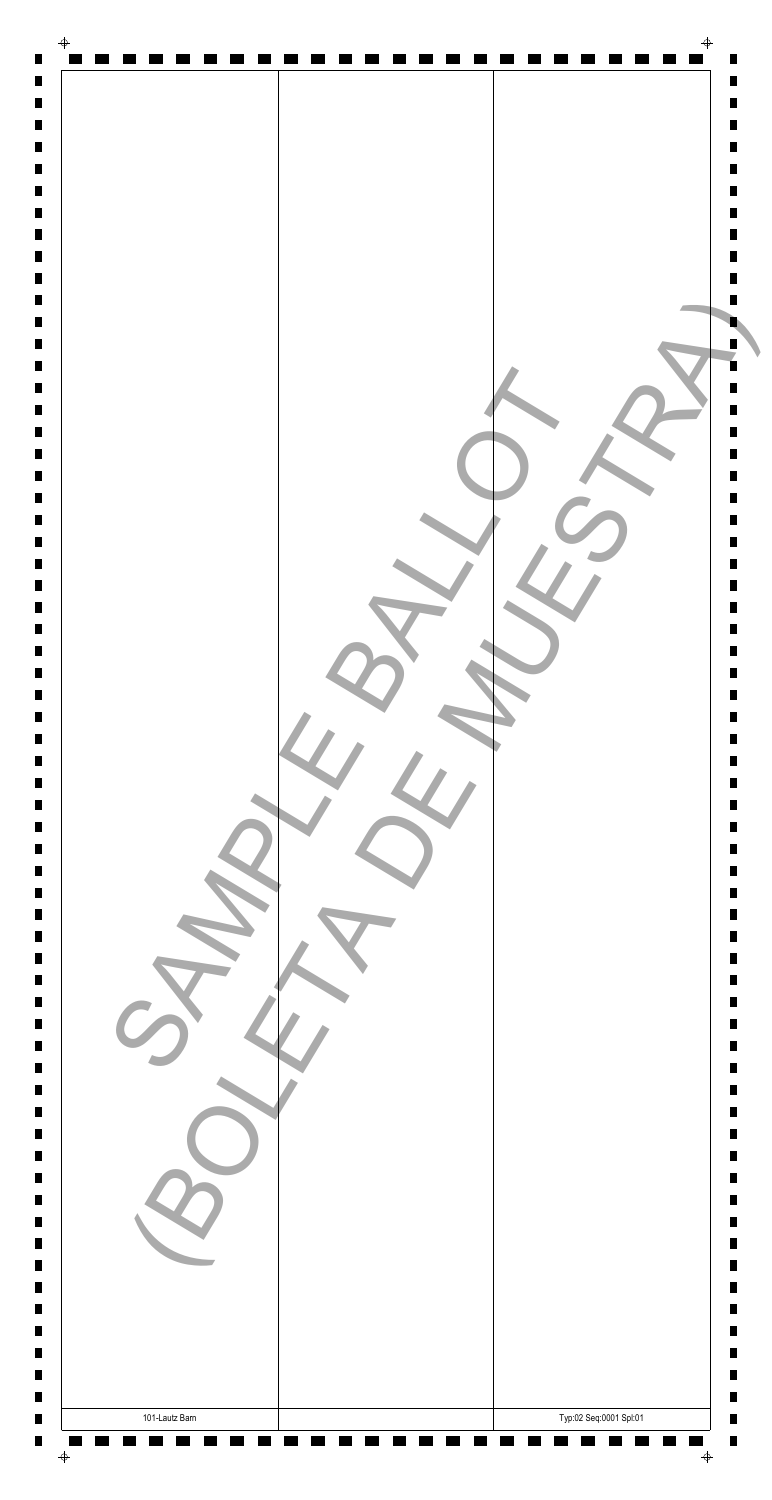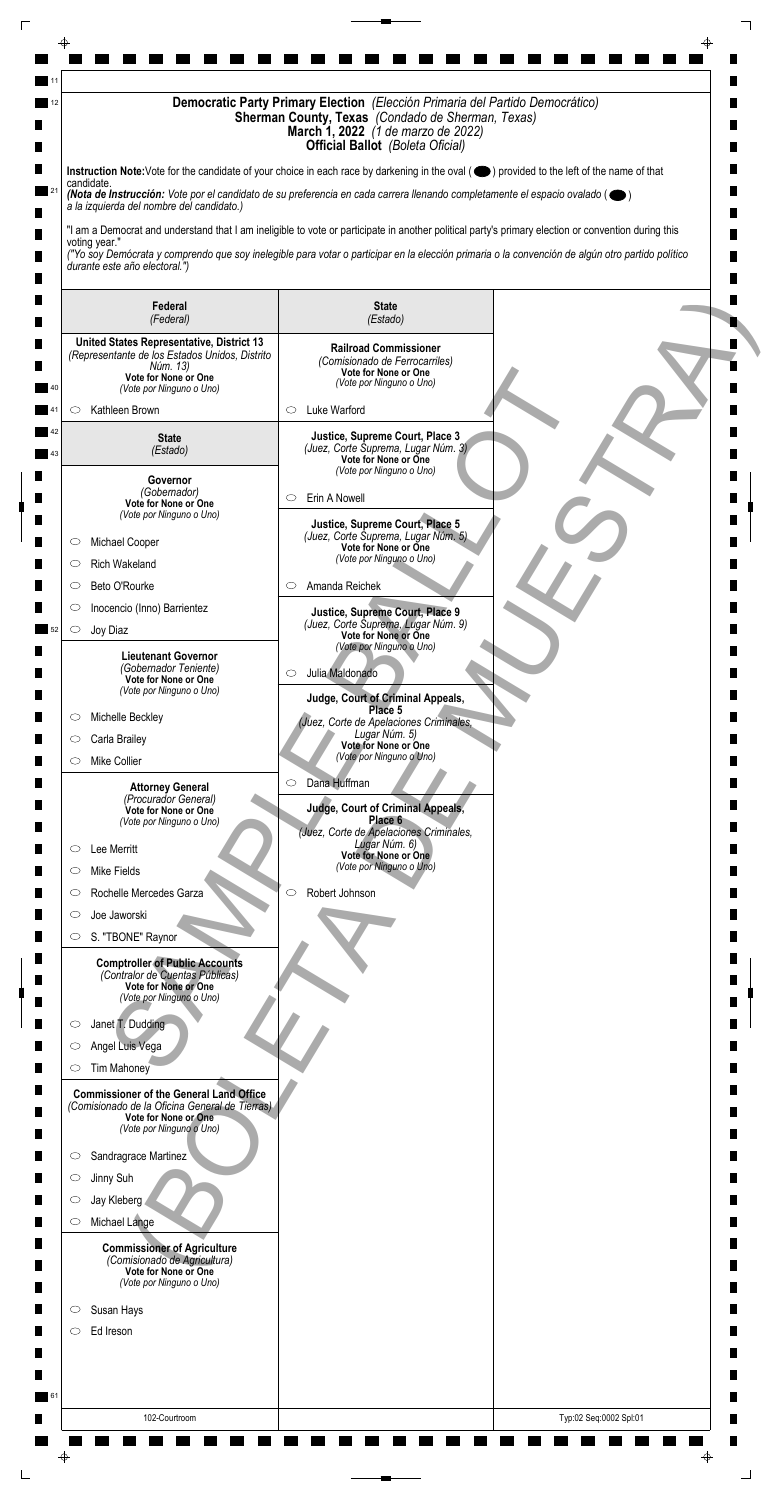|                                                                                                                                                      | Democratic Party Primary Election (Elección Primaria del Partido Democrático)<br>Sherman County, Texas (Condado de Sherman, Texas)<br>March 1, 2022 (1 de marzo de 2022)<br><b>Official Ballot</b> (Boleta Oficial) |
|------------------------------------------------------------------------------------------------------------------------------------------------------|---------------------------------------------------------------------------------------------------------------------------------------------------------------------------------------------------------------------|
| candidate.                                                                                                                                           | Instruction Note: Vote for the candidate of your choice in each race by darkening in the oval (O) provided to the left of the name of that                                                                          |
| a la izquierda del nombre del candidato.)                                                                                                            | (Nota de Instrucción: Vote por el candidato de su preferencia en cada carrera llenando completamente el espacio ovalado ( $\bullet$ )                                                                               |
|                                                                                                                                                      | "I am a Democrat and understand that I am ineligible to vote or participate in another political party's primary election or convention during this                                                                 |
| voting year."<br>durante este año electoral.")                                                                                                       | ("Yo soy Demócrata y comprendo que soy inelegible para votar o participar en la elección primaria o la convención de algún otro partido político                                                                    |
| Federal<br>(Federal)                                                                                                                                 | <b>State</b><br>(Estado)                                                                                                                                                                                            |
| United States Representative, District 13<br>(Representante de los Estados Unidos, Distrito                                                          | <b>Railroad Commissioner</b>                                                                                                                                                                                        |
| Núm. 13)<br>Vote for None or One                                                                                                                     | (Comisionado de Ferrocarriles)<br>Vote for None or One                                                                                                                                                              |
| (Vote por Ninguno o Uno)                                                                                                                             | (Vote por Ninguno o Uno)                                                                                                                                                                                            |
| Kathleen Brown<br>O                                                                                                                                  | Luke Warford<br>O                                                                                                                                                                                                   |
| <b>State</b><br>(Estado)                                                                                                                             | Justice, Supreme Court, Place 3<br>(Juez, Corte Suprema, Lugar Núm. 3)                                                                                                                                              |
|                                                                                                                                                      | Vote for None or One<br>(Vote por Ninguno o Uno)                                                                                                                                                                    |
| Governor<br>(Gobernador)                                                                                                                             | Erin A Nowell                                                                                                                                                                                                       |
| Vote for None or One<br>(Vote por Ninguno o Uno)                                                                                                     | $\circ$                                                                                                                                                                                                             |
| Michael Cooper                                                                                                                                       | Justice, Supreme Court, Place 5<br>(Juez, Corte Suprema, Lugar Núm. 5).                                                                                                                                             |
| <b>Rich Wakeland</b><br>O                                                                                                                            | Vote for None or One<br>(Vote por Ninguno o Uno)                                                                                                                                                                    |
| Beto O'Rourke<br>$\circ$                                                                                                                             | Amanda Reichek<br>$\circlearrowright$                                                                                                                                                                               |
| Inocencio (Inno) Barrientez<br>$\circ$                                                                                                               | Justice, Supreme Court, Place 9                                                                                                                                                                                     |
| Joy Diaz<br>$\circ$                                                                                                                                  | (Juez, Corte Suprema, Lugar Núm. 9)<br>Vote for None or One                                                                                                                                                         |
| <b>Lieutenant Governor</b>                                                                                                                           | (Vote por Ninguno o Uno)                                                                                                                                                                                            |
| (Gobernador Teniente)<br>Vote for None or One                                                                                                        | Julia Maldonado<br>$\circ$                                                                                                                                                                                          |
| (Vote por Ninguno o Uno)                                                                                                                             | Judge, Court of Criminal Appeals,                                                                                                                                                                                   |
| Michelle Beckley<br>$\circ$                                                                                                                          | Place 5<br>Uuez, Corte de Apelaciones Criminales,                                                                                                                                                                   |
| Carla Brailey<br>$\circ$                                                                                                                             | Lugar Núm. 5)<br>Vote for None or One                                                                                                                                                                               |
| <b>Mike Collier</b><br>O                                                                                                                             | (Vote por Ninguno o Uno)                                                                                                                                                                                            |
| <b>Attorney General</b><br>(Procurador General)                                                                                                      | Dana Huffman<br>$\circlearrowright$                                                                                                                                                                                 |
| Vote for None or One<br>(Vote por Ninguno o Uno)                                                                                                     | <b>Judge, Court of Criminal Appeals,</b><br>Place 6                                                                                                                                                                 |
| Lee Merritt<br>O                                                                                                                                     | (Juez, Corte de Apelaciones Criminales,<br>Lugar Núm. 6)                                                                                                                                                            |
| <b>Mike Fields</b><br>O                                                                                                                              | Vote for None or One<br>(Vote por Ninguno o Uno)                                                                                                                                                                    |
| Rochelle Mercedes Garza<br>$\circ$                                                                                                                   | Robert Johnson<br>$\circlearrowright$                                                                                                                                                                               |
| Joe Jaworski<br>$\circ$                                                                                                                              |                                                                                                                                                                                                                     |
| S. "TBONE" Raynor<br>O                                                                                                                               |                                                                                                                                                                                                                     |
| <b>Comptroller of Public Accounts</b><br>(Contralor de Cuentas Públicas)<br>Vote for None or One<br>(Vote por Ninguno o Uno)                         |                                                                                                                                                                                                                     |
| Janet T. Dudding<br>O                                                                                                                                |                                                                                                                                                                                                                     |
| Angel Luis Vega<br>C                                                                                                                                 |                                                                                                                                                                                                                     |
| Tim Mahoney<br>$\circ$                                                                                                                               |                                                                                                                                                                                                                     |
| <b>Commissioner of the General Land Office</b><br>(Comisionado de la Oficina General de Tierras)<br>Vote for None or One<br>(Vote por Ninguno o Uno) |                                                                                                                                                                                                                     |
| Sandragrace Martinez<br>O                                                                                                                            |                                                                                                                                                                                                                     |
| Jinny Suh<br>O                                                                                                                                       |                                                                                                                                                                                                                     |
|                                                                                                                                                      |                                                                                                                                                                                                                     |
| Jay Kleberg<br>$\circ$                                                                                                                               |                                                                                                                                                                                                                     |

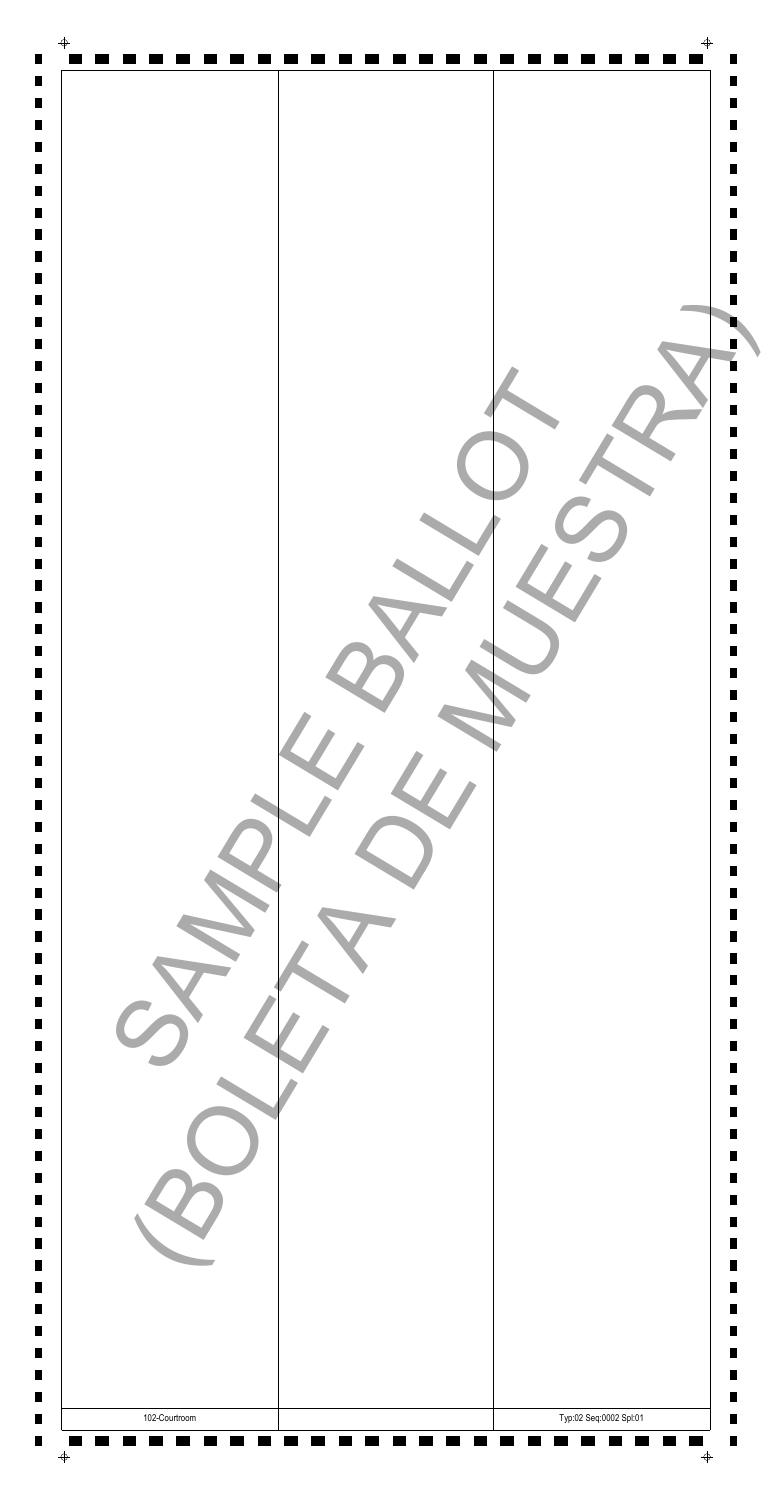| 102-Courtroom | Typ:02 Seq:0002 Spl:01 |
|---------------|------------------------|

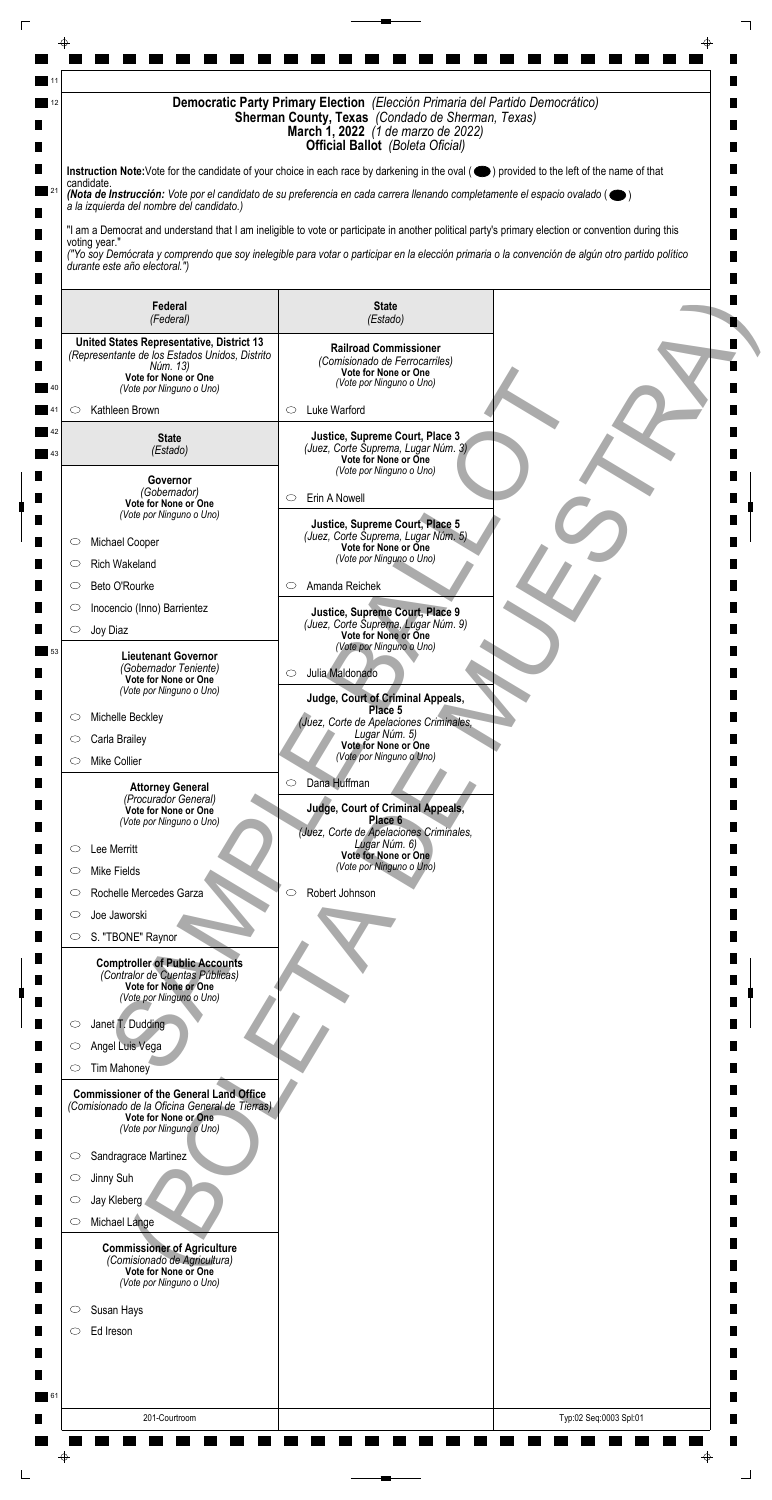|         |                                                                                                                                                             | Democratic Party Primary Election (Elección Primaria del Partido Democrático)<br>Sherman County, Texas (Condado de Sherman, Texas)<br>March 1, 2022 (1 de marzo de 2022)<br><b>Official Ballot</b> (Boleta Oficial)                                                                                     |
|---------|-------------------------------------------------------------------------------------------------------------------------------------------------------------|---------------------------------------------------------------------------------------------------------------------------------------------------------------------------------------------------------------------------------------------------------------------------------------------------------|
|         | candidate.                                                                                                                                                  | Instruction Note: Vote for the candidate of your choice in each race by darkening in the oval (O) provided to the left of the name of that                                                                                                                                                              |
|         | a la izquierda del nombre del candidato.)                                                                                                                   | (Nota de Instrucción: Vote por el candidato de su preferencia en cada carrera llenando completamente el espacio ovalado ( $\bullet$ )                                                                                                                                                                   |
|         | voting year."<br>durante este año electoral.")                                                                                                              | "I am a Democrat and understand that I am ineligible to vote or participate in another political party's primary election or convention during this<br>("Yo soy Demócrata y comprendo que soy inelegible para votar o participar en la elección primaria o la convención de algún otro partido político |
|         | Federal<br>(Federal)                                                                                                                                        | <b>State</b><br>(Estado)                                                                                                                                                                                                                                                                                |
|         | United States Representative, District 13<br>(Representante de los Estados Unidos, Distrito<br>Núm. 13)<br>Vote for None or One<br>(Vote por Ninguno o Uno) | <b>Railroad Commissioner</b><br>(Comisionado de Ferrocarriles)<br>Vote for None or One<br>(Vote por Ninguno o Uno)                                                                                                                                                                                      |
| O       | Kathleen Brown                                                                                                                                              | Luke Warford<br>$\circ$                                                                                                                                                                                                                                                                                 |
|         | <b>State</b><br>(Estado)                                                                                                                                    | Justice, Supreme Court, Place 3<br>(Juez, Corte Suprema, Lugar Núm. 3)<br>Vote for None or One                                                                                                                                                                                                          |
|         | Governor                                                                                                                                                    | (Vote por Ninguno o Uno)                                                                                                                                                                                                                                                                                |
|         | (Gobernador)<br>Vote for None or One<br>(Vote por Ninguno o Uno)                                                                                            | Erin A Nowell<br>$\circ$                                                                                                                                                                                                                                                                                |
|         | Michael Cooper                                                                                                                                              | Justice, Supreme Court, Place 5<br>(Juez, Corte Suprema, Lugar Núm. 5)                                                                                                                                                                                                                                  |
| O       | <b>Rich Wakeland</b>                                                                                                                                        | Vote for None or One<br>(Vote por Ninguno o Uno)                                                                                                                                                                                                                                                        |
| $\circ$ | Beto O'Rourke                                                                                                                                               | Amanda Reichek<br>$\circlearrowright$                                                                                                                                                                                                                                                                   |
| $\circ$ | Inocencio (Inno) Barrientez                                                                                                                                 | Justice, Supreme Court, Place 9                                                                                                                                                                                                                                                                         |
| $\circ$ | Joy Diaz                                                                                                                                                    | (Juez, Corte Suprema, Lugar Núm. 9)<br>Vote for None or One<br>(Vote por Ninguno o Uno)                                                                                                                                                                                                                 |
|         | <b>Lieutenant Governor</b><br>(Gobernador Teniente)<br>Vote for None or One<br>(Vote por Ninguno o Uno)                                                     | Julia Maldonado<br>$\circ$                                                                                                                                                                                                                                                                              |
| $\circ$ | Michelle Beckley                                                                                                                                            | Judge, Court of Criminal Appeals,<br>Place 5                                                                                                                                                                                                                                                            |
| $\circ$ | Carla Brailey                                                                                                                                               | Juez, Corte de Apelaciones Criminales,<br>Lugar Núm. 5)<br>Vote for None or One                                                                                                                                                                                                                         |
| $\circ$ | <b>Mike Collier</b>                                                                                                                                         | (Vote por Ninguno o Uno)                                                                                                                                                                                                                                                                                |
|         | <b>Attorney General</b><br>(Procurador General)<br>Vote for None or One                                                                                     | Dana Huffman<br>$\circlearrowright$<br><b>Judge, Court of Criminal Appeals,</b>                                                                                                                                                                                                                         |
|         | (Vote por Ninguno o Uno)                                                                                                                                    | Place 6<br>(Juez, Corte de Apelaciones Criminales,<br>Lugar Núm. 6)                                                                                                                                                                                                                                     |
| O       | Lee Merritt<br><b>Mike Fields</b>                                                                                                                           | Vote for None or One<br>(Vote por Ninguno o Uno)                                                                                                                                                                                                                                                        |
| O<br>O  | Rochelle Mercedes Garza                                                                                                                                     | Robert Johnson<br>◯                                                                                                                                                                                                                                                                                     |
| $\circ$ | Joe Jaworski                                                                                                                                                |                                                                                                                                                                                                                                                                                                         |
| $\circ$ | S. "TBONE" Raynor                                                                                                                                           |                                                                                                                                                                                                                                                                                                         |
|         | <b>Comptroller of Public Accounts</b><br>(Contralor de Cuentas Públicas)<br>Vote for None or One<br>(Vote por Ninguno o Uno)                                |                                                                                                                                                                                                                                                                                                         |
| O       | Janet T. Dudding                                                                                                                                            |                                                                                                                                                                                                                                                                                                         |
| C       | Angel Luis Vega                                                                                                                                             |                                                                                                                                                                                                                                                                                                         |
| $\circ$ | Tim Mahoney                                                                                                                                                 |                                                                                                                                                                                                                                                                                                         |
|         | <b>Commissioner of the General Land Office</b><br>(Comisionado de la Oficina General de Tierras)<br>Vote for None or One<br>(Vote por Ninguno o Uno)        |                                                                                                                                                                                                                                                                                                         |
| O       | Sandragrace Martinez                                                                                                                                        |                                                                                                                                                                                                                                                                                                         |
| O       | Jinny Suh                                                                                                                                                   |                                                                                                                                                                                                                                                                                                         |
|         | Jay Kleberg                                                                                                                                                 |                                                                                                                                                                                                                                                                                                         |

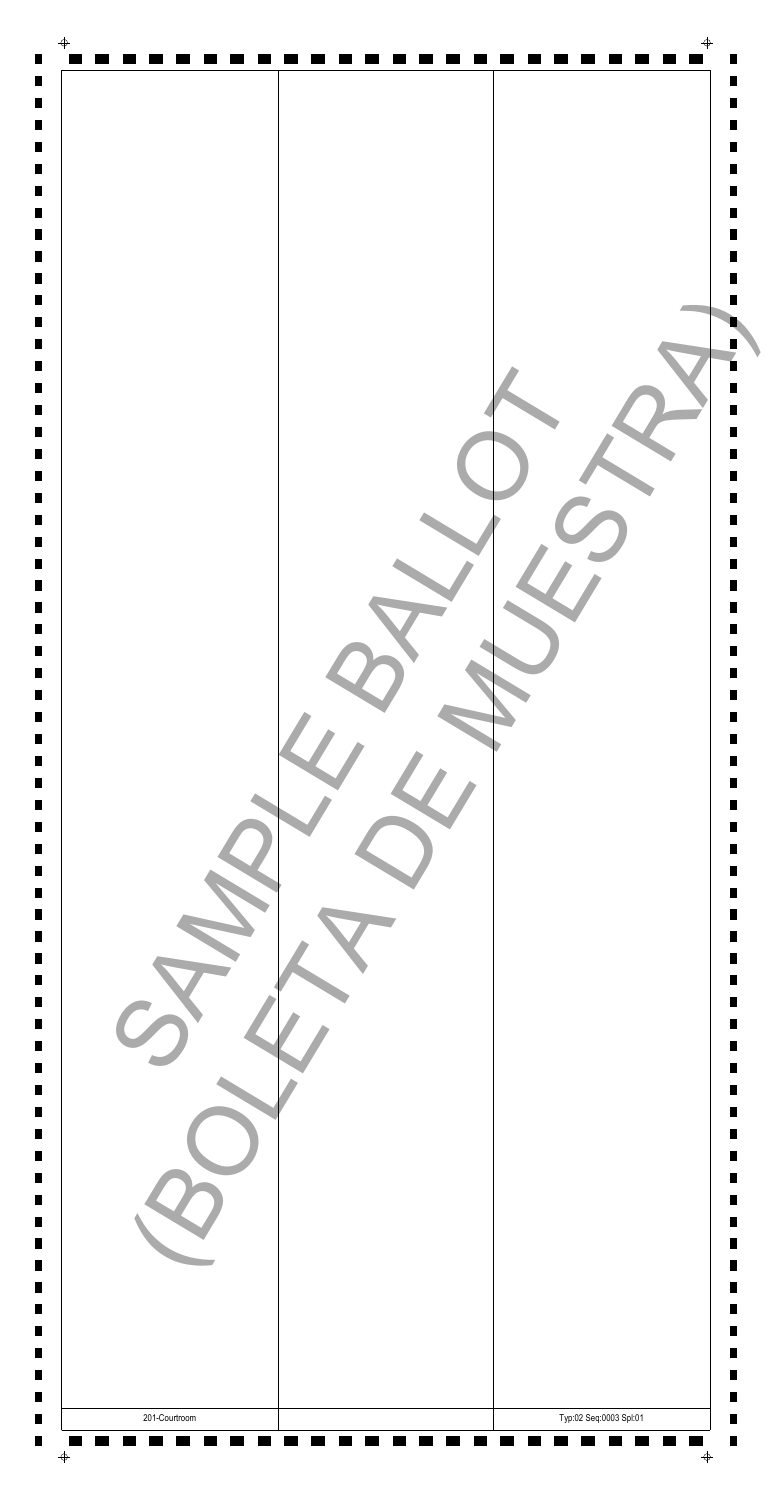| Typ:02 Seq:0003 Spl:01 |
|------------------------|

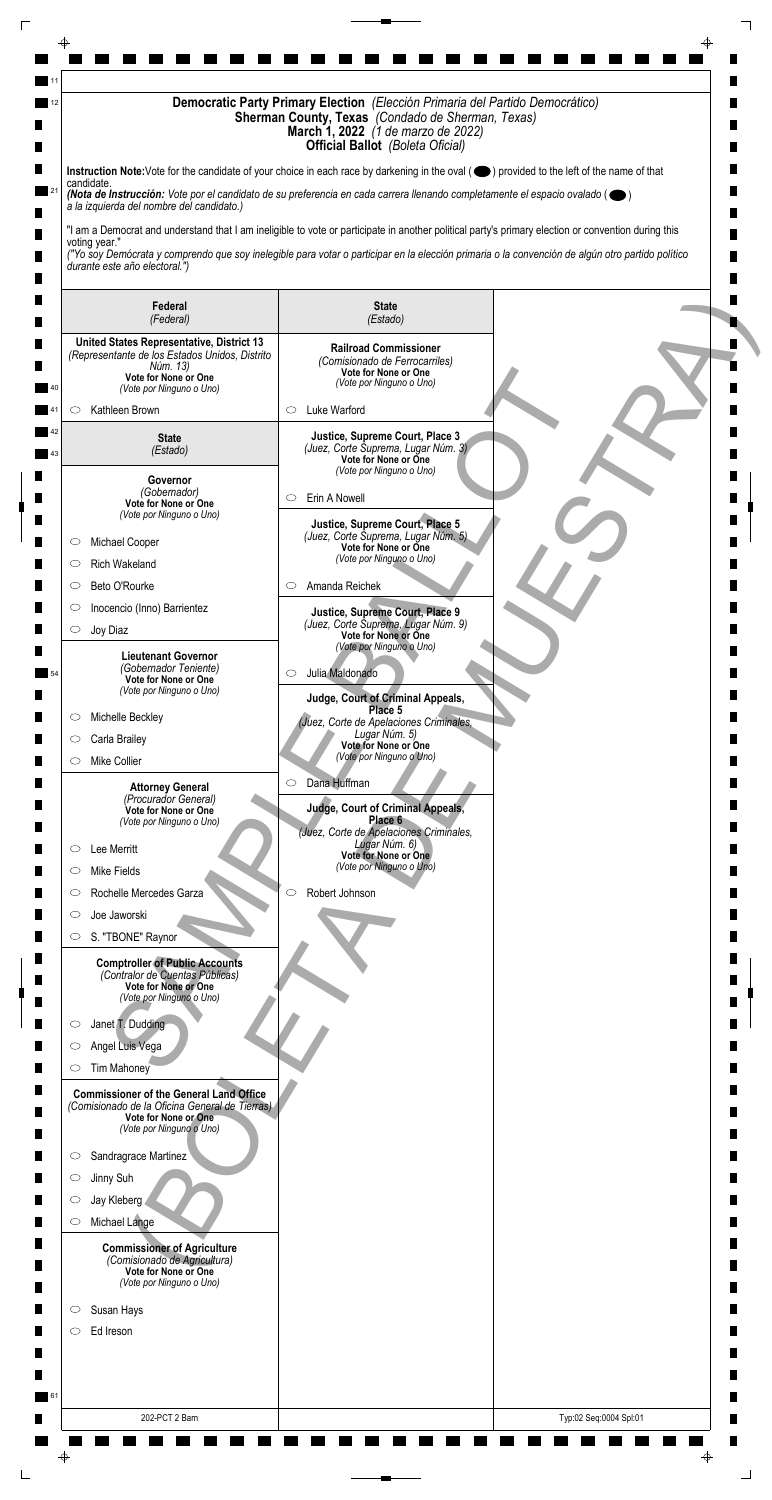| Instruction Note: Vote for the candidate of your choice in each race by darkening in the oval (O) provided to the left of the name of that<br>candidate.<br>(Nota de Instrucción: Vote por el candidato de su preferencia en cada carrera llenando completamente el espacio ovalado ( $\bullet$ )<br>a la izquierda del nombre del candidato.)<br>"I am a Democrat and understand that I am ineligible to vote or participate in another political party's primary election or convention during this<br>voting year."<br>("Yo soy Demócrata y comprendo que soy inelegible para votar o participar en la elección primaria o la convención de algún otro partido político<br>durante este año electoral.")<br>Federal<br><b>State</b><br>(Federal)<br>(Estado)<br>United States Representative, District 13<br><b>Railroad Commissioner</b><br>(Representante de los Estados Unidos, Distrito<br>(Comisionado de Ferrocarriles)<br>Núm. 13)<br>Vote for None or One<br>Vote for None or One<br>(Vote por Ninguno o Uno)<br>(Vote por Ninguno o Uno)<br>Kathleen Brown<br>Luke Warford<br>O<br>O<br>Justice, Supreme Court, Place 3<br><b>State</b><br>(Juez, Corte Suprema, Lugar Núm. 3)<br>(Estado)<br>Vote for None or One<br>(Vote por Ninguno o Uno)<br>Governor<br>(Gobernador)<br>Erin A Nowell<br>$\circ$<br>Vote for None or One<br>(Vote por Ninguno o Uno)<br>Justice, Supreme Court, Place 5<br>(Juez, Corte Suprema, Lugar Núm. 5).<br>Michael Cooper<br>Vote for None or One<br>(Vote por Ninguno o Uno)<br><b>Rich Wakeland</b><br>O<br>Beto O'Rourke<br>Amanda Reichek<br>$\circlearrowright$<br>$\circ$<br>Inocencio (Inno) Barrientez<br>$\circ$<br>Justice, Supreme Court, Place 9<br>(Juez, Corte Suprema, Lugar Núm. 9)<br>Joy Diaz<br>$\circ$<br>Vote for None or One<br>(Vote por Ninguno o Uno)<br><b>Lieutenant Governor</b><br>(Gobernador Teniente)<br>Julia Maldonado<br>$\circ$<br>Vote for None or One<br>(Vote por Ninguno o Uno)<br><b>Judge, Court of Criminal Appeals,</b><br>Place 5<br>Michelle Beckley<br>$\circ$<br>Uuez, Corte de Apelaciones Criminales,<br>Lugar Núm. 5)<br>Carla Brailey<br>$\circ$<br>Vote for None or One<br>(Vote por Ninguno o Uno)<br><b>Mike Collier</b><br>O<br>Dana Huffman<br>$\circlearrowright$<br><b>Attorney General</b><br>(Procurador General)<br><b>Judge, Court of Criminal Appeals,</b><br>Vote for None or One<br>Place 6<br>(Vote por Ninguno o Uno)<br>(Juez, Corte de Apelaciones Criminales,<br>Lugar Núm. 6)<br>Lee Merritt<br>O<br>Vote for None or One<br>(Vote por Ninguno o Uno)<br><b>Mike Fields</b><br>O<br>Rochelle Mercedes Garza<br>Robert Johnson<br>$\circlearrowright$<br>$\circ$<br>Joe Jaworski<br>$\circ$<br>S. "TBONE" Raynor<br>O<br><b>Comptroller of Public Accounts</b><br>(Contralor de Cuentas Públicas)<br>Vote for None or One<br>(Vote por Ninguno o Uno)<br>Janet T. Dudding<br>$\circ$<br>Angel Luis Vega<br>C<br>Tim Mahoney<br>$\circ$<br><b>Commissioner of the General Land Office</b><br>(Comisionado de la Oficina General de Tierras)<br>Vote for None or One<br>(Vote por Ninguno o Uno)<br>Sandragrace Martinez<br>O<br>Jinny Suh<br>O<br>Jay Kleberg<br>$\circ$ | Democratic Party Primary Election (Elección Primaria del Partido Democrático)<br>Sherman County, Texas (Condado de Sherman, Texas)<br>March 1, 2022 (1 de marzo de 2022)<br><b>Official Ballot</b> (Boleta Oficial) |
|------------------------------------------------------------------------------------------------------------------------------------------------------------------------------------------------------------------------------------------------------------------------------------------------------------------------------------------------------------------------------------------------------------------------------------------------------------------------------------------------------------------------------------------------------------------------------------------------------------------------------------------------------------------------------------------------------------------------------------------------------------------------------------------------------------------------------------------------------------------------------------------------------------------------------------------------------------------------------------------------------------------------------------------------------------------------------------------------------------------------------------------------------------------------------------------------------------------------------------------------------------------------------------------------------------------------------------------------------------------------------------------------------------------------------------------------------------------------------------------------------------------------------------------------------------------------------------------------------------------------------------------------------------------------------------------------------------------------------------------------------------------------------------------------------------------------------------------------------------------------------------------------------------------------------------------------------------------------------------------------------------------------------------------------------------------------------------------------------------------------------------------------------------------------------------------------------------------------------------------------------------------------------------------------------------------------------------------------------------------------------------------------------------------------------------------------------------------------------------------------------------------------------------------------------------------------------------------------------------------------------------------------------------------------------------------------------------------------------------------------------------------------------------------------------------------------------------------------------------------------------------------------------------------------------------------------------------------------------------------------------------------------------------------------------------------------------------------------------------------------------------------------------------------------------------------|---------------------------------------------------------------------------------------------------------------------------------------------------------------------------------------------------------------------|
|                                                                                                                                                                                                                                                                                                                                                                                                                                                                                                                                                                                                                                                                                                                                                                                                                                                                                                                                                                                                                                                                                                                                                                                                                                                                                                                                                                                                                                                                                                                                                                                                                                                                                                                                                                                                                                                                                                                                                                                                                                                                                                                                                                                                                                                                                                                                                                                                                                                                                                                                                                                                                                                                                                                                                                                                                                                                                                                                                                                                                                                                                                                                                                                          |                                                                                                                                                                                                                     |
|                                                                                                                                                                                                                                                                                                                                                                                                                                                                                                                                                                                                                                                                                                                                                                                                                                                                                                                                                                                                                                                                                                                                                                                                                                                                                                                                                                                                                                                                                                                                                                                                                                                                                                                                                                                                                                                                                                                                                                                                                                                                                                                                                                                                                                                                                                                                                                                                                                                                                                                                                                                                                                                                                                                                                                                                                                                                                                                                                                                                                                                                                                                                                                                          |                                                                                                                                                                                                                     |
|                                                                                                                                                                                                                                                                                                                                                                                                                                                                                                                                                                                                                                                                                                                                                                                                                                                                                                                                                                                                                                                                                                                                                                                                                                                                                                                                                                                                                                                                                                                                                                                                                                                                                                                                                                                                                                                                                                                                                                                                                                                                                                                                                                                                                                                                                                                                                                                                                                                                                                                                                                                                                                                                                                                                                                                                                                                                                                                                                                                                                                                                                                                                                                                          |                                                                                                                                                                                                                     |
|                                                                                                                                                                                                                                                                                                                                                                                                                                                                                                                                                                                                                                                                                                                                                                                                                                                                                                                                                                                                                                                                                                                                                                                                                                                                                                                                                                                                                                                                                                                                                                                                                                                                                                                                                                                                                                                                                                                                                                                                                                                                                                                                                                                                                                                                                                                                                                                                                                                                                                                                                                                                                                                                                                                                                                                                                                                                                                                                                                                                                                                                                                                                                                                          |                                                                                                                                                                                                                     |
|                                                                                                                                                                                                                                                                                                                                                                                                                                                                                                                                                                                                                                                                                                                                                                                                                                                                                                                                                                                                                                                                                                                                                                                                                                                                                                                                                                                                                                                                                                                                                                                                                                                                                                                                                                                                                                                                                                                                                                                                                                                                                                                                                                                                                                                                                                                                                                                                                                                                                                                                                                                                                                                                                                                                                                                                                                                                                                                                                                                                                                                                                                                                                                                          |                                                                                                                                                                                                                     |
|                                                                                                                                                                                                                                                                                                                                                                                                                                                                                                                                                                                                                                                                                                                                                                                                                                                                                                                                                                                                                                                                                                                                                                                                                                                                                                                                                                                                                                                                                                                                                                                                                                                                                                                                                                                                                                                                                                                                                                                                                                                                                                                                                                                                                                                                                                                                                                                                                                                                                                                                                                                                                                                                                                                                                                                                                                                                                                                                                                                                                                                                                                                                                                                          |                                                                                                                                                                                                                     |
|                                                                                                                                                                                                                                                                                                                                                                                                                                                                                                                                                                                                                                                                                                                                                                                                                                                                                                                                                                                                                                                                                                                                                                                                                                                                                                                                                                                                                                                                                                                                                                                                                                                                                                                                                                                                                                                                                                                                                                                                                                                                                                                                                                                                                                                                                                                                                                                                                                                                                                                                                                                                                                                                                                                                                                                                                                                                                                                                                                                                                                                                                                                                                                                          |                                                                                                                                                                                                                     |
|                                                                                                                                                                                                                                                                                                                                                                                                                                                                                                                                                                                                                                                                                                                                                                                                                                                                                                                                                                                                                                                                                                                                                                                                                                                                                                                                                                                                                                                                                                                                                                                                                                                                                                                                                                                                                                                                                                                                                                                                                                                                                                                                                                                                                                                                                                                                                                                                                                                                                                                                                                                                                                                                                                                                                                                                                                                                                                                                                                                                                                                                                                                                                                                          |                                                                                                                                                                                                                     |
|                                                                                                                                                                                                                                                                                                                                                                                                                                                                                                                                                                                                                                                                                                                                                                                                                                                                                                                                                                                                                                                                                                                                                                                                                                                                                                                                                                                                                                                                                                                                                                                                                                                                                                                                                                                                                                                                                                                                                                                                                                                                                                                                                                                                                                                                                                                                                                                                                                                                                                                                                                                                                                                                                                                                                                                                                                                                                                                                                                                                                                                                                                                                                                                          |                                                                                                                                                                                                                     |
|                                                                                                                                                                                                                                                                                                                                                                                                                                                                                                                                                                                                                                                                                                                                                                                                                                                                                                                                                                                                                                                                                                                                                                                                                                                                                                                                                                                                                                                                                                                                                                                                                                                                                                                                                                                                                                                                                                                                                                                                                                                                                                                                                                                                                                                                                                                                                                                                                                                                                                                                                                                                                                                                                                                                                                                                                                                                                                                                                                                                                                                                                                                                                                                          |                                                                                                                                                                                                                     |
|                                                                                                                                                                                                                                                                                                                                                                                                                                                                                                                                                                                                                                                                                                                                                                                                                                                                                                                                                                                                                                                                                                                                                                                                                                                                                                                                                                                                                                                                                                                                                                                                                                                                                                                                                                                                                                                                                                                                                                                                                                                                                                                                                                                                                                                                                                                                                                                                                                                                                                                                                                                                                                                                                                                                                                                                                                                                                                                                                                                                                                                                                                                                                                                          |                                                                                                                                                                                                                     |
|                                                                                                                                                                                                                                                                                                                                                                                                                                                                                                                                                                                                                                                                                                                                                                                                                                                                                                                                                                                                                                                                                                                                                                                                                                                                                                                                                                                                                                                                                                                                                                                                                                                                                                                                                                                                                                                                                                                                                                                                                                                                                                                                                                                                                                                                                                                                                                                                                                                                                                                                                                                                                                                                                                                                                                                                                                                                                                                                                                                                                                                                                                                                                                                          |                                                                                                                                                                                                                     |
|                                                                                                                                                                                                                                                                                                                                                                                                                                                                                                                                                                                                                                                                                                                                                                                                                                                                                                                                                                                                                                                                                                                                                                                                                                                                                                                                                                                                                                                                                                                                                                                                                                                                                                                                                                                                                                                                                                                                                                                                                                                                                                                                                                                                                                                                                                                                                                                                                                                                                                                                                                                                                                                                                                                                                                                                                                                                                                                                                                                                                                                                                                                                                                                          |                                                                                                                                                                                                                     |
|                                                                                                                                                                                                                                                                                                                                                                                                                                                                                                                                                                                                                                                                                                                                                                                                                                                                                                                                                                                                                                                                                                                                                                                                                                                                                                                                                                                                                                                                                                                                                                                                                                                                                                                                                                                                                                                                                                                                                                                                                                                                                                                                                                                                                                                                                                                                                                                                                                                                                                                                                                                                                                                                                                                                                                                                                                                                                                                                                                                                                                                                                                                                                                                          |                                                                                                                                                                                                                     |
|                                                                                                                                                                                                                                                                                                                                                                                                                                                                                                                                                                                                                                                                                                                                                                                                                                                                                                                                                                                                                                                                                                                                                                                                                                                                                                                                                                                                                                                                                                                                                                                                                                                                                                                                                                                                                                                                                                                                                                                                                                                                                                                                                                                                                                                                                                                                                                                                                                                                                                                                                                                                                                                                                                                                                                                                                                                                                                                                                                                                                                                                                                                                                                                          |                                                                                                                                                                                                                     |
|                                                                                                                                                                                                                                                                                                                                                                                                                                                                                                                                                                                                                                                                                                                                                                                                                                                                                                                                                                                                                                                                                                                                                                                                                                                                                                                                                                                                                                                                                                                                                                                                                                                                                                                                                                                                                                                                                                                                                                                                                                                                                                                                                                                                                                                                                                                                                                                                                                                                                                                                                                                                                                                                                                                                                                                                                                                                                                                                                                                                                                                                                                                                                                                          |                                                                                                                                                                                                                     |
|                                                                                                                                                                                                                                                                                                                                                                                                                                                                                                                                                                                                                                                                                                                                                                                                                                                                                                                                                                                                                                                                                                                                                                                                                                                                                                                                                                                                                                                                                                                                                                                                                                                                                                                                                                                                                                                                                                                                                                                                                                                                                                                                                                                                                                                                                                                                                                                                                                                                                                                                                                                                                                                                                                                                                                                                                                                                                                                                                                                                                                                                                                                                                                                          |                                                                                                                                                                                                                     |
|                                                                                                                                                                                                                                                                                                                                                                                                                                                                                                                                                                                                                                                                                                                                                                                                                                                                                                                                                                                                                                                                                                                                                                                                                                                                                                                                                                                                                                                                                                                                                                                                                                                                                                                                                                                                                                                                                                                                                                                                                                                                                                                                                                                                                                                                                                                                                                                                                                                                                                                                                                                                                                                                                                                                                                                                                                                                                                                                                                                                                                                                                                                                                                                          |                                                                                                                                                                                                                     |
|                                                                                                                                                                                                                                                                                                                                                                                                                                                                                                                                                                                                                                                                                                                                                                                                                                                                                                                                                                                                                                                                                                                                                                                                                                                                                                                                                                                                                                                                                                                                                                                                                                                                                                                                                                                                                                                                                                                                                                                                                                                                                                                                                                                                                                                                                                                                                                                                                                                                                                                                                                                                                                                                                                                                                                                                                                                                                                                                                                                                                                                                                                                                                                                          |                                                                                                                                                                                                                     |
|                                                                                                                                                                                                                                                                                                                                                                                                                                                                                                                                                                                                                                                                                                                                                                                                                                                                                                                                                                                                                                                                                                                                                                                                                                                                                                                                                                                                                                                                                                                                                                                                                                                                                                                                                                                                                                                                                                                                                                                                                                                                                                                                                                                                                                                                                                                                                                                                                                                                                                                                                                                                                                                                                                                                                                                                                                                                                                                                                                                                                                                                                                                                                                                          |                                                                                                                                                                                                                     |
|                                                                                                                                                                                                                                                                                                                                                                                                                                                                                                                                                                                                                                                                                                                                                                                                                                                                                                                                                                                                                                                                                                                                                                                                                                                                                                                                                                                                                                                                                                                                                                                                                                                                                                                                                                                                                                                                                                                                                                                                                                                                                                                                                                                                                                                                                                                                                                                                                                                                                                                                                                                                                                                                                                                                                                                                                                                                                                                                                                                                                                                                                                                                                                                          |                                                                                                                                                                                                                     |
|                                                                                                                                                                                                                                                                                                                                                                                                                                                                                                                                                                                                                                                                                                                                                                                                                                                                                                                                                                                                                                                                                                                                                                                                                                                                                                                                                                                                                                                                                                                                                                                                                                                                                                                                                                                                                                                                                                                                                                                                                                                                                                                                                                                                                                                                                                                                                                                                                                                                                                                                                                                                                                                                                                                                                                                                                                                                                                                                                                                                                                                                                                                                                                                          |                                                                                                                                                                                                                     |
|                                                                                                                                                                                                                                                                                                                                                                                                                                                                                                                                                                                                                                                                                                                                                                                                                                                                                                                                                                                                                                                                                                                                                                                                                                                                                                                                                                                                                                                                                                                                                                                                                                                                                                                                                                                                                                                                                                                                                                                                                                                                                                                                                                                                                                                                                                                                                                                                                                                                                                                                                                                                                                                                                                                                                                                                                                                                                                                                                                                                                                                                                                                                                                                          |                                                                                                                                                                                                                     |
|                                                                                                                                                                                                                                                                                                                                                                                                                                                                                                                                                                                                                                                                                                                                                                                                                                                                                                                                                                                                                                                                                                                                                                                                                                                                                                                                                                                                                                                                                                                                                                                                                                                                                                                                                                                                                                                                                                                                                                                                                                                                                                                                                                                                                                                                                                                                                                                                                                                                                                                                                                                                                                                                                                                                                                                                                                                                                                                                                                                                                                                                                                                                                                                          |                                                                                                                                                                                                                     |
|                                                                                                                                                                                                                                                                                                                                                                                                                                                                                                                                                                                                                                                                                                                                                                                                                                                                                                                                                                                                                                                                                                                                                                                                                                                                                                                                                                                                                                                                                                                                                                                                                                                                                                                                                                                                                                                                                                                                                                                                                                                                                                                                                                                                                                                                                                                                                                                                                                                                                                                                                                                                                                                                                                                                                                                                                                                                                                                                                                                                                                                                                                                                                                                          |                                                                                                                                                                                                                     |
|                                                                                                                                                                                                                                                                                                                                                                                                                                                                                                                                                                                                                                                                                                                                                                                                                                                                                                                                                                                                                                                                                                                                                                                                                                                                                                                                                                                                                                                                                                                                                                                                                                                                                                                                                                                                                                                                                                                                                                                                                                                                                                                                                                                                                                                                                                                                                                                                                                                                                                                                                                                                                                                                                                                                                                                                                                                                                                                                                                                                                                                                                                                                                                                          |                                                                                                                                                                                                                     |
|                                                                                                                                                                                                                                                                                                                                                                                                                                                                                                                                                                                                                                                                                                                                                                                                                                                                                                                                                                                                                                                                                                                                                                                                                                                                                                                                                                                                                                                                                                                                                                                                                                                                                                                                                                                                                                                                                                                                                                                                                                                                                                                                                                                                                                                                                                                                                                                                                                                                                                                                                                                                                                                                                                                                                                                                                                                                                                                                                                                                                                                                                                                                                                                          |                                                                                                                                                                                                                     |
|                                                                                                                                                                                                                                                                                                                                                                                                                                                                                                                                                                                                                                                                                                                                                                                                                                                                                                                                                                                                                                                                                                                                                                                                                                                                                                                                                                                                                                                                                                                                                                                                                                                                                                                                                                                                                                                                                                                                                                                                                                                                                                                                                                                                                                                                                                                                                                                                                                                                                                                                                                                                                                                                                                                                                                                                                                                                                                                                                                                                                                                                                                                                                                                          |                                                                                                                                                                                                                     |
|                                                                                                                                                                                                                                                                                                                                                                                                                                                                                                                                                                                                                                                                                                                                                                                                                                                                                                                                                                                                                                                                                                                                                                                                                                                                                                                                                                                                                                                                                                                                                                                                                                                                                                                                                                                                                                                                                                                                                                                                                                                                                                                                                                                                                                                                                                                                                                                                                                                                                                                                                                                                                                                                                                                                                                                                                                                                                                                                                                                                                                                                                                                                                                                          |                                                                                                                                                                                                                     |
|                                                                                                                                                                                                                                                                                                                                                                                                                                                                                                                                                                                                                                                                                                                                                                                                                                                                                                                                                                                                                                                                                                                                                                                                                                                                                                                                                                                                                                                                                                                                                                                                                                                                                                                                                                                                                                                                                                                                                                                                                                                                                                                                                                                                                                                                                                                                                                                                                                                                                                                                                                                                                                                                                                                                                                                                                                                                                                                                                                                                                                                                                                                                                                                          |                                                                                                                                                                                                                     |
|                                                                                                                                                                                                                                                                                                                                                                                                                                                                                                                                                                                                                                                                                                                                                                                                                                                                                                                                                                                                                                                                                                                                                                                                                                                                                                                                                                                                                                                                                                                                                                                                                                                                                                                                                                                                                                                                                                                                                                                                                                                                                                                                                                                                                                                                                                                                                                                                                                                                                                                                                                                                                                                                                                                                                                                                                                                                                                                                                                                                                                                                                                                                                                                          |                                                                                                                                                                                                                     |
|                                                                                                                                                                                                                                                                                                                                                                                                                                                                                                                                                                                                                                                                                                                                                                                                                                                                                                                                                                                                                                                                                                                                                                                                                                                                                                                                                                                                                                                                                                                                                                                                                                                                                                                                                                                                                                                                                                                                                                                                                                                                                                                                                                                                                                                                                                                                                                                                                                                                                                                                                                                                                                                                                                                                                                                                                                                                                                                                                                                                                                                                                                                                                                                          |                                                                                                                                                                                                                     |
|                                                                                                                                                                                                                                                                                                                                                                                                                                                                                                                                                                                                                                                                                                                                                                                                                                                                                                                                                                                                                                                                                                                                                                                                                                                                                                                                                                                                                                                                                                                                                                                                                                                                                                                                                                                                                                                                                                                                                                                                                                                                                                                                                                                                                                                                                                                                                                                                                                                                                                                                                                                                                                                                                                                                                                                                                                                                                                                                                                                                                                                                                                                                                                                          |                                                                                                                                                                                                                     |
|                                                                                                                                                                                                                                                                                                                                                                                                                                                                                                                                                                                                                                                                                                                                                                                                                                                                                                                                                                                                                                                                                                                                                                                                                                                                                                                                                                                                                                                                                                                                                                                                                                                                                                                                                                                                                                                                                                                                                                                                                                                                                                                                                                                                                                                                                                                                                                                                                                                                                                                                                                                                                                                                                                                                                                                                                                                                                                                                                                                                                                                                                                                                                                                          |                                                                                                                                                                                                                     |
|                                                                                                                                                                                                                                                                                                                                                                                                                                                                                                                                                                                                                                                                                                                                                                                                                                                                                                                                                                                                                                                                                                                                                                                                                                                                                                                                                                                                                                                                                                                                                                                                                                                                                                                                                                                                                                                                                                                                                                                                                                                                                                                                                                                                                                                                                                                                                                                                                                                                                                                                                                                                                                                                                                                                                                                                                                                                                                                                                                                                                                                                                                                                                                                          |                                                                                                                                                                                                                     |
|                                                                                                                                                                                                                                                                                                                                                                                                                                                                                                                                                                                                                                                                                                                                                                                                                                                                                                                                                                                                                                                                                                                                                                                                                                                                                                                                                                                                                                                                                                                                                                                                                                                                                                                                                                                                                                                                                                                                                                                                                                                                                                                                                                                                                                                                                                                                                                                                                                                                                                                                                                                                                                                                                                                                                                                                                                                                                                                                                                                                                                                                                                                                                                                          |                                                                                                                                                                                                                     |
|                                                                                                                                                                                                                                                                                                                                                                                                                                                                                                                                                                                                                                                                                                                                                                                                                                                                                                                                                                                                                                                                                                                                                                                                                                                                                                                                                                                                                                                                                                                                                                                                                                                                                                                                                                                                                                                                                                                                                                                                                                                                                                                                                                                                                                                                                                                                                                                                                                                                                                                                                                                                                                                                                                                                                                                                                                                                                                                                                                                                                                                                                                                                                                                          |                                                                                                                                                                                                                     |
|                                                                                                                                                                                                                                                                                                                                                                                                                                                                                                                                                                                                                                                                                                                                                                                                                                                                                                                                                                                                                                                                                                                                                                                                                                                                                                                                                                                                                                                                                                                                                                                                                                                                                                                                                                                                                                                                                                                                                                                                                                                                                                                                                                                                                                                                                                                                                                                                                                                                                                                                                                                                                                                                                                                                                                                                                                                                                                                                                                                                                                                                                                                                                                                          |                                                                                                                                                                                                                     |
|                                                                                                                                                                                                                                                                                                                                                                                                                                                                                                                                                                                                                                                                                                                                                                                                                                                                                                                                                                                                                                                                                                                                                                                                                                                                                                                                                                                                                                                                                                                                                                                                                                                                                                                                                                                                                                                                                                                                                                                                                                                                                                                                                                                                                                                                                                                                                                                                                                                                                                                                                                                                                                                                                                                                                                                                                                                                                                                                                                                                                                                                                                                                                                                          |                                                                                                                                                                                                                     |



 $\Box$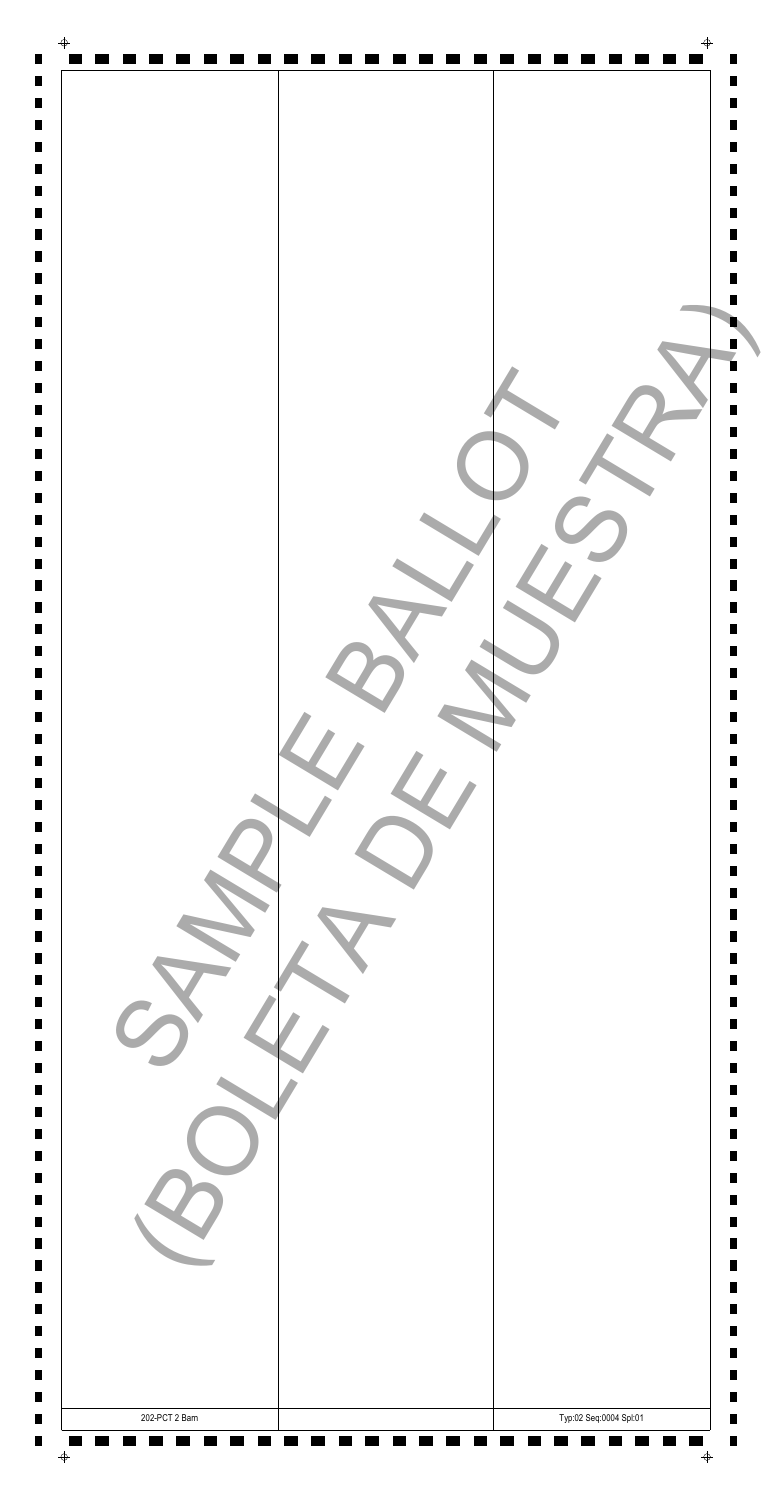| 202-PCT 2 Barn | Typ:02 Seq:0004 Spl:01 |
|----------------|------------------------|

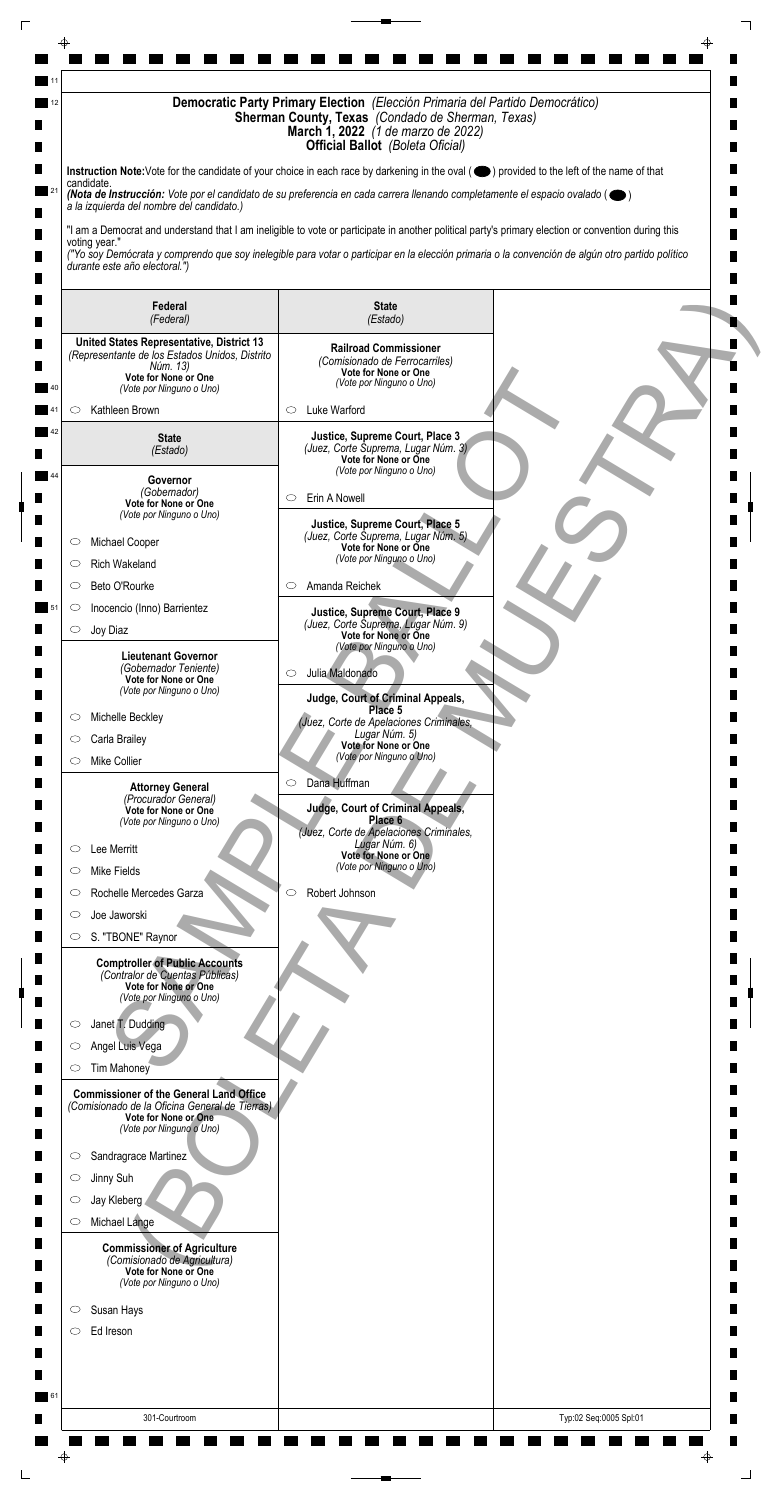|                                                                                                                                                      |                     | Democratic Party Primary Election (Elección Primaria del Partido Democrático)<br>Sherman County, Texas (Condado de Sherman, Texas)<br>March 1, 2022 (1 de marzo de 2022)<br><b>Official Ballot</b> (Boleta Oficial) |                                                                                                                                                     |
|------------------------------------------------------------------------------------------------------------------------------------------------------|---------------------|---------------------------------------------------------------------------------------------------------------------------------------------------------------------------------------------------------------------|-----------------------------------------------------------------------------------------------------------------------------------------------------|
| candidate.                                                                                                                                           |                     |                                                                                                                                                                                                                     | Instruction Note: Vote for the candidate of your choice in each race by darkening in the oval (O) provided to the left of the name of that          |
| a la izquierda del nombre del candidato.)                                                                                                            |                     | (Nota de Instrucción: Vote por el candidato de su preferencia en cada carrera llenando completamente el espacio ovalado ( $\bullet$ )                                                                               |                                                                                                                                                     |
|                                                                                                                                                      |                     |                                                                                                                                                                                                                     | "I am a Democrat and understand that I am ineligible to vote or participate in another political party's primary election or convention during this |
| voting year."<br>durante este año electoral.")                                                                                                       |                     |                                                                                                                                                                                                                     | ("Yo soy Demócrata y comprendo que soy inelegible para votar o participar en la elección primaria o la convención de algún otro partido político    |
| Federal<br>(Federal)                                                                                                                                 |                     | <b>State</b><br>(Estado)                                                                                                                                                                                            |                                                                                                                                                     |
| United States Representative, District 13<br>(Representante de los Estados Unidos, Distrito                                                          |                     | <b>Railroad Commissioner</b>                                                                                                                                                                                        |                                                                                                                                                     |
| Núm. 13)<br>Vote for None or One                                                                                                                     |                     | (Comisionado de Ferrocarriles)<br>Vote for None or One                                                                                                                                                              |                                                                                                                                                     |
| (Vote por Ninguno o Uno)                                                                                                                             |                     | (Vote por Ninguno o Uno)                                                                                                                                                                                            |                                                                                                                                                     |
| Kathleen Brown<br>C                                                                                                                                  | O                   | Luke Warford                                                                                                                                                                                                        |                                                                                                                                                     |
| <b>State</b><br>(Estado)                                                                                                                             |                     | Justice, Supreme Court, Place 3<br>(Juez, Corte Suprema, Lugar Núm. 3)<br>Vote for None or One                                                                                                                      |                                                                                                                                                     |
| Governor                                                                                                                                             |                     | (Vote por Ninguno o Uno)                                                                                                                                                                                            |                                                                                                                                                     |
| (Gobernador)<br>Vote for None or One                                                                                                                 | $\circ$             | Erin A Nowell                                                                                                                                                                                                       |                                                                                                                                                     |
| (Vote por Ninguno o Uno)                                                                                                                             |                     | Justice, Supreme Court, Place 5<br>(Juez, Corte Suprema, Lugar Núm. 5).                                                                                                                                             |                                                                                                                                                     |
| Michael Cooper                                                                                                                                       |                     | Vote for None or One<br>(Vote por Ninguno o Uno)                                                                                                                                                                    |                                                                                                                                                     |
| <b>Rich Wakeland</b><br>O                                                                                                                            |                     |                                                                                                                                                                                                                     |                                                                                                                                                     |
| Beto O'Rourke<br>$\circ$<br>Inocencio (Inno) Barrientez                                                                                              | $\circlearrowright$ | Amanda Reichek                                                                                                                                                                                                      |                                                                                                                                                     |
| $\circ$<br>Joy Diaz<br>$\circ$                                                                                                                       |                     | Justice, Supreme Court, Place 9<br>(Juez, Corte Suprema, Lugar Núm. 9)                                                                                                                                              |                                                                                                                                                     |
| <b>Lieutenant Governor</b>                                                                                                                           |                     | Vote for None or One<br>(Vote por Ninguno o Uno)                                                                                                                                                                    |                                                                                                                                                     |
| (Gobernador Teniente)                                                                                                                                | $\circ$             | Julia Maldonado                                                                                                                                                                                                     |                                                                                                                                                     |
| Vote for None or One<br>(Vote por Ninguno o Uno)                                                                                                     |                     | Judge, Court of Criminal Appeals,                                                                                                                                                                                   |                                                                                                                                                     |
| Michelle Beckley<br>$\circ$                                                                                                                          |                     | Place 5<br>Uuez, Corte de Apelaciones Criminales,                                                                                                                                                                   |                                                                                                                                                     |
| Carla Brailey<br>$\circ$                                                                                                                             |                     | Lugar Núm. 5)<br>Vote for None or One                                                                                                                                                                               |                                                                                                                                                     |
| <b>Mike Collier</b><br>O                                                                                                                             |                     | (Vote por Ninguno o Uno)                                                                                                                                                                                            |                                                                                                                                                     |
| <b>Attorney General</b>                                                                                                                              | $\circlearrowright$ | Dana Huffman                                                                                                                                                                                                        |                                                                                                                                                     |
| (Procurador General)<br>Vote for None or One<br>(Vote por Ninguno o Uno)                                                                             |                     | <b>Judge, Court of Criminal Appeals,</b><br>Place 6                                                                                                                                                                 |                                                                                                                                                     |
|                                                                                                                                                      |                     | (Juez, Corte de Apelaciones Criminales,<br>Lugar Núm. 6)                                                                                                                                                            |                                                                                                                                                     |
| Lee Merritt<br>O                                                                                                                                     |                     | Vote for None or One<br>(Vote por Ninguno o Uno)                                                                                                                                                                    |                                                                                                                                                     |
| <b>Mike Fields</b><br>O<br>Rochelle Mercedes Garza<br>$\circ$                                                                                        | $\circlearrowright$ | Robert Johnson                                                                                                                                                                                                      |                                                                                                                                                     |
| Joe Jaworski<br>$\circ$                                                                                                                              |                     |                                                                                                                                                                                                                     |                                                                                                                                                     |
| S. "TBONE" Raynor<br>O                                                                                                                               |                     |                                                                                                                                                                                                                     |                                                                                                                                                     |
| <b>Comptroller of Public Accounts</b><br>(Contralor de Cuentas Públicas)<br>Vote for None or One<br>(Vote por Ninguno o Uno)                         |                     |                                                                                                                                                                                                                     |                                                                                                                                                     |
| Janet T. Dudding<br>$\circ$                                                                                                                          |                     |                                                                                                                                                                                                                     |                                                                                                                                                     |
| Angel Luis Vega<br>C                                                                                                                                 |                     |                                                                                                                                                                                                                     |                                                                                                                                                     |
| Tim Mahoney<br>$\circ$                                                                                                                               |                     |                                                                                                                                                                                                                     |                                                                                                                                                     |
| <b>Commissioner of the General Land Office</b><br>(Comisionado de la Oficina General de Tierras)<br>Vote for None or One<br>(Vote por Ninguno o Uno) |                     |                                                                                                                                                                                                                     |                                                                                                                                                     |
| Sandragrace Martinez<br>O                                                                                                                            |                     |                                                                                                                                                                                                                     |                                                                                                                                                     |
| Jinny Suh<br>O                                                                                                                                       |                     |                                                                                                                                                                                                                     |                                                                                                                                                     |
|                                                                                                                                                      |                     |                                                                                                                                                                                                                     |                                                                                                                                                     |
| Jay Kleberg<br>$\circ$                                                                                                                               |                     |                                                                                                                                                                                                                     |                                                                                                                                                     |

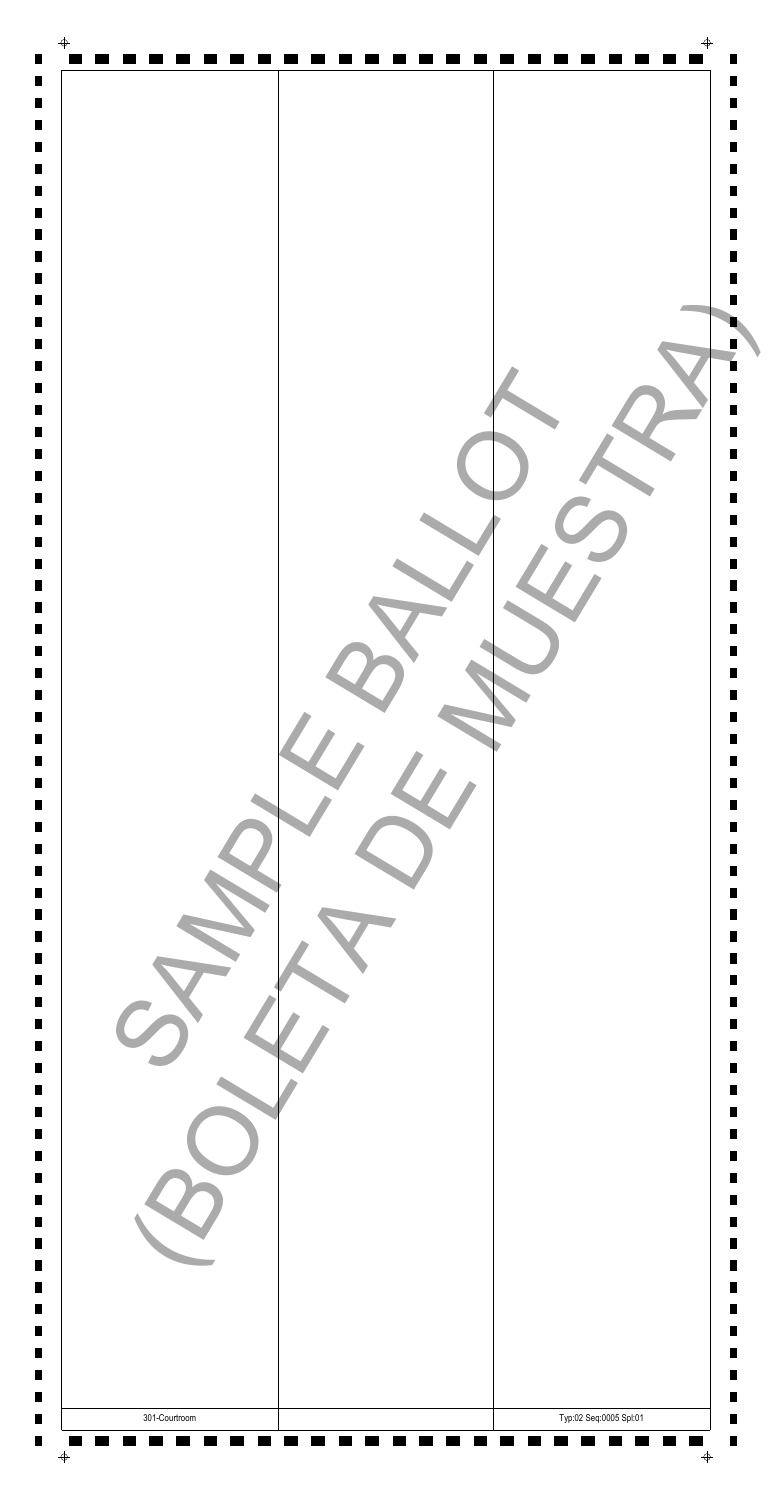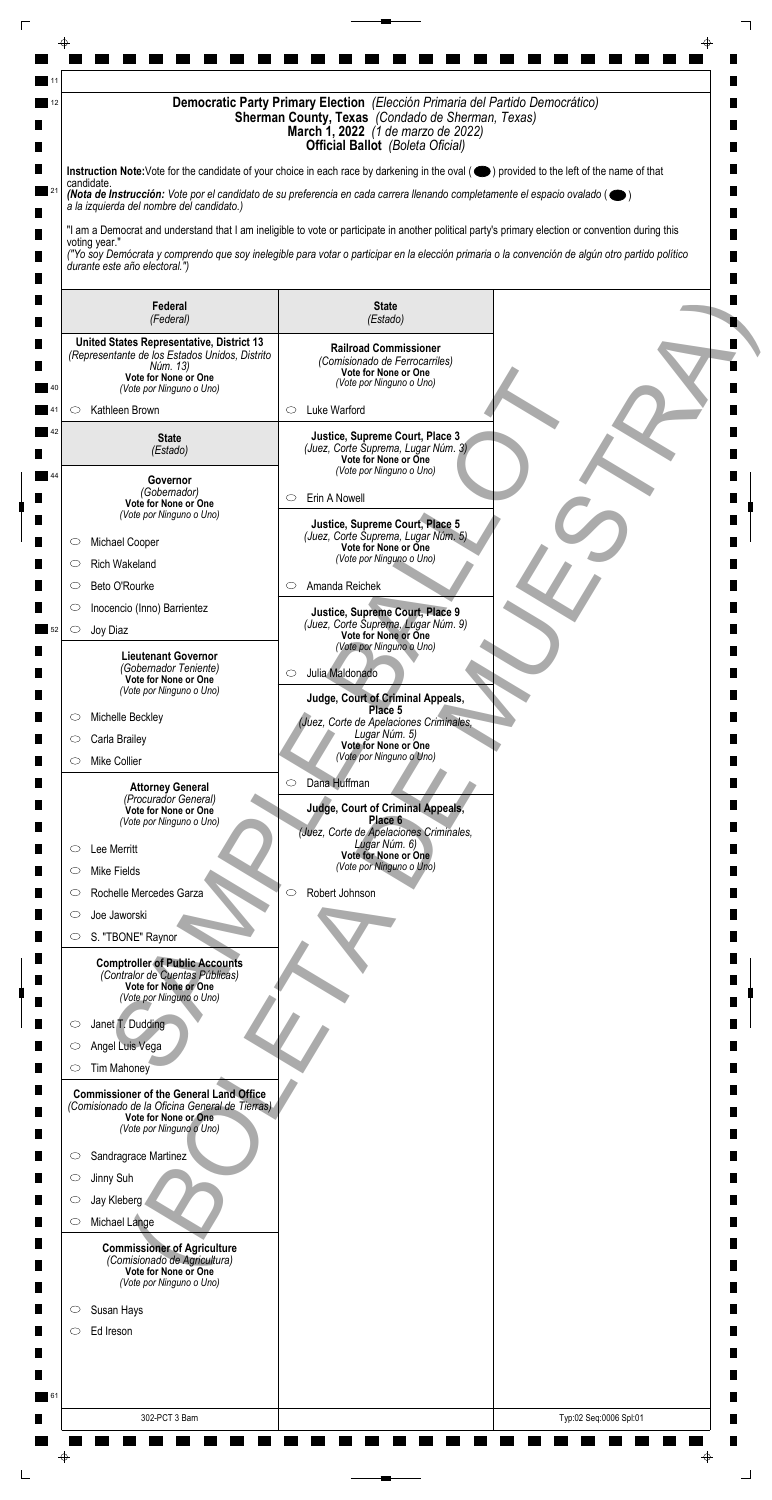|                                                                                                                                                      | Democratic Party Primary Election (Elección Primaria del Partido Democrático)<br>Sherman County, Texas (Condado de Sherman, Texas)<br>March 1, 2022 (1 de marzo de 2022)<br><b>Official Ballot</b> (Boleta Oficial) |
|------------------------------------------------------------------------------------------------------------------------------------------------------|---------------------------------------------------------------------------------------------------------------------------------------------------------------------------------------------------------------------|
| candidate.                                                                                                                                           | Instruction Note: Vote for the candidate of your choice in each race by darkening in the oval (O) provided to the left of the name of that                                                                          |
| a la izquierda del nombre del candidato.)                                                                                                            | (Nota de Instrucción: Vote por el candidato de su preferencia en cada carrera llenando completamente el espacio ovalado ( $\bullet$ )                                                                               |
|                                                                                                                                                      | "I am a Democrat and understand that I am ineligible to vote or participate in another political party's primary election or convention during this                                                                 |
| voting year."<br>durante este año electoral.")                                                                                                       | ("Yo soy Demócrata y comprendo que soy inelegible para votar o participar en la elección primaria o la convención de algún otro partido político                                                                    |
| Federal<br>(Federal)                                                                                                                                 | <b>State</b><br>(Estado)                                                                                                                                                                                            |
| United States Representative, District 13<br>(Representante de los Estados Unidos, Distrito                                                          | <b>Railroad Commissioner</b>                                                                                                                                                                                        |
| Núm. 13)<br>Vote for None or One                                                                                                                     | (Comisionado de Ferrocarriles)<br>Vote for None or One                                                                                                                                                              |
| (Vote por Ninguno o Uno)                                                                                                                             | (Vote por Ninguno o Uno)                                                                                                                                                                                            |
| Kathleen Brown<br>C                                                                                                                                  | Luke Warford<br>O                                                                                                                                                                                                   |
| <b>State</b><br>(Estado)                                                                                                                             | Justice, Supreme Court, Place 3<br>(Juez, Corte Suprema, Lugar Núm. 3)<br>Vote for None or One                                                                                                                      |
| Governor<br>(Gobernador)                                                                                                                             | (Vote por Ninguno o Uno)                                                                                                                                                                                            |
| Vote for None or One<br>(Vote por Ninguno o Uno)                                                                                                     | Erin A Nowell<br>$\circ$                                                                                                                                                                                            |
|                                                                                                                                                      | Justice, Supreme Court, Place 5<br>(Juez, Corte Suprema, Lugar Núm. 5).                                                                                                                                             |
| Michael Cooper<br><b>Rich Wakeland</b><br>O                                                                                                          | Vote for None or One<br>(Vote por Ninguno o Uno)                                                                                                                                                                    |
| Beto O'Rourke<br>$\circ$                                                                                                                             | Amanda Reichek<br>$\circlearrowright$                                                                                                                                                                               |
| Inocencio (Inno) Barrientez<br>$\circ$                                                                                                               | Justice, Supreme Court, Place 9                                                                                                                                                                                     |
| Joy Diaz<br>$\circ$                                                                                                                                  | (Juez, Corte Suprema, Lugar Núm. 9)<br>Vote for None or One                                                                                                                                                         |
| <b>Lieutenant Governor</b>                                                                                                                           | (Vote por Ninguno o Uno)                                                                                                                                                                                            |
| (Gobernador Teniente)<br>Vote for None or One                                                                                                        | Julia Maldonado<br>$\circ$                                                                                                                                                                                          |
| (Vote por Ninguno o Uno)                                                                                                                             | Judge, Court of Criminal Appeals,                                                                                                                                                                                   |
| Michelle Beckley<br>$\circ$                                                                                                                          | Place 5<br>Uuez, Corte de Apelaciones Criminales,                                                                                                                                                                   |
| Carla Brailey<br>$\circ$                                                                                                                             | Lugar Núm. 5)<br>Vote for None or One                                                                                                                                                                               |
| <b>Mike Collier</b><br>O                                                                                                                             | (Vote por Ninguno o Uno)                                                                                                                                                                                            |
| <b>Attorney General</b><br>(Procurador General)                                                                                                      | Dana Huffman<br>$\circlearrowright$                                                                                                                                                                                 |
| Vote for None or One<br>(Vote por Ninguno o Uno)                                                                                                     | <b>Judge, Court of Criminal Appeals,</b><br>Place 6                                                                                                                                                                 |
| Lee Merritt<br>O                                                                                                                                     | (Juez, Corte de Apelaciones Criminales,<br>Lugar Núm. 6)                                                                                                                                                            |
| <b>Mike Fields</b><br>O                                                                                                                              | Vote for None or One<br>(Vote por Ninguno o Uno)                                                                                                                                                                    |
| Rochelle Mercedes Garza<br>$\circ$                                                                                                                   | Robert Johnson<br>$\circlearrowright$                                                                                                                                                                               |
| Joe Jaworski<br>$\circ$                                                                                                                              |                                                                                                                                                                                                                     |
| S. "TBONE" Raynor<br>O                                                                                                                               |                                                                                                                                                                                                                     |
| <b>Comptroller of Public Accounts</b><br>(Contralor de Cuentas Públicas)<br>Vote for None or One<br>(Vote por Ninguno o Uno)                         |                                                                                                                                                                                                                     |
| Janet T. Dudding<br>O                                                                                                                                |                                                                                                                                                                                                                     |
| Angel Luis Vega<br>C                                                                                                                                 |                                                                                                                                                                                                                     |
| Tim Mahoney<br>$\circ$                                                                                                                               |                                                                                                                                                                                                                     |
| <b>Commissioner of the General Land Office</b><br>(Comisionado de la Oficina General de Tierras)<br>Vote for None or One<br>(Vote por Ninguno o Uno) |                                                                                                                                                                                                                     |
| Sandragrace Martinez<br>O                                                                                                                            |                                                                                                                                                                                                                     |
| Jinny Suh<br>O                                                                                                                                       |                                                                                                                                                                                                                     |
| Jay Kleberg<br>$\circ$                                                                                                                               |                                                                                                                                                                                                                     |

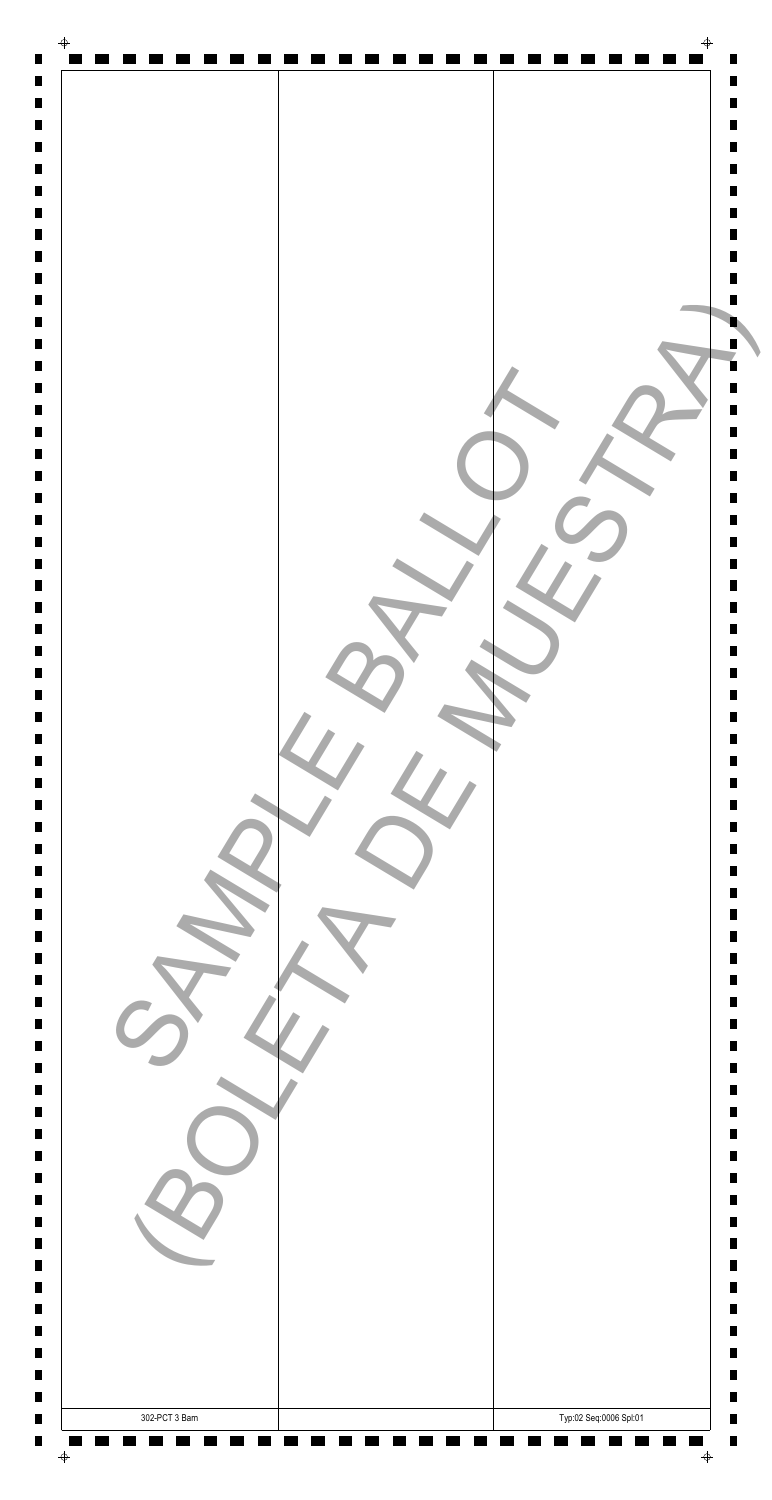| 302-PCT 3 Barn | Typ:02 Seq:0006 Spl:01 |
|----------------|------------------------|

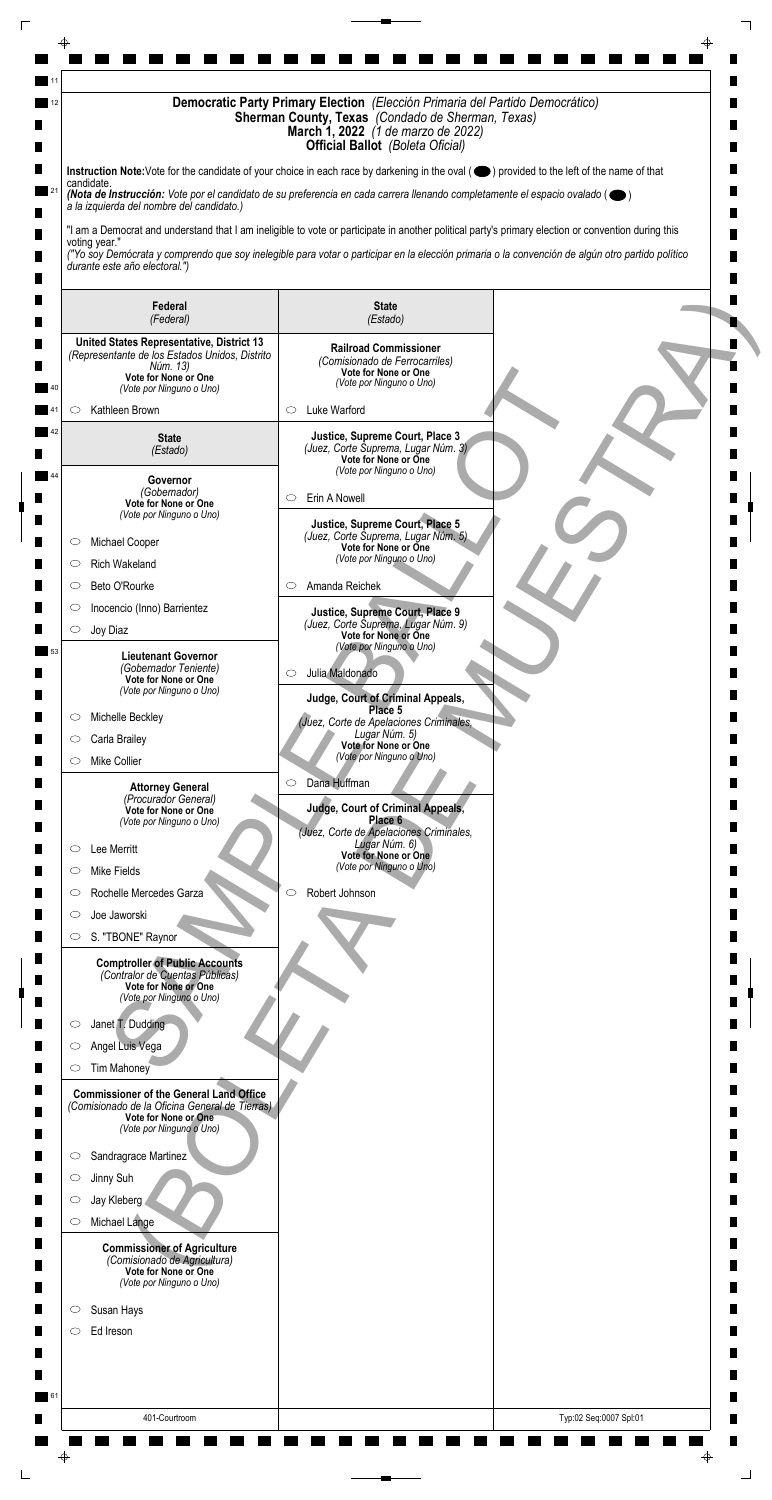|                    |                                                                                                                                                      | Democratic Party Primary Election (Elección Primaria del Partido Democrático)<br>Sherman County, Texas (Condado de Sherman, Texas)<br>March 1, 2022 (1 de marzo de 2022)<br><b>Official Ballot</b> (Boleta Oficial)                                                                                     |
|--------------------|------------------------------------------------------------------------------------------------------------------------------------------------------|---------------------------------------------------------------------------------------------------------------------------------------------------------------------------------------------------------------------------------------------------------------------------------------------------------|
|                    | candidate.                                                                                                                                           | Instruction Note: Vote for the candidate of your choice in each race by darkening in the oval (O) provided to the left of the name of that                                                                                                                                                              |
|                    | a la izquierda del nombre del candidato.)                                                                                                            | (Nota de Instrucción: Vote por el candidato de su preferencia en cada carrera llenando completamente el espacio ovalado ( $\bullet$ )                                                                                                                                                                   |
|                    |                                                                                                                                                      |                                                                                                                                                                                                                                                                                                         |
|                    | voting year."<br>durante este año electoral.")                                                                                                       | "I am a Democrat and understand that I am ineligible to vote or participate in another political party's primary election or convention during this<br>("Yo soy Demócrata y comprendo que soy inelegible para votar o participar en la elección primaria o la convención de algún otro partido político |
|                    | Federal<br>(Federal)                                                                                                                                 | <b>State</b><br>(Estado)                                                                                                                                                                                                                                                                                |
|                    | United States Representative, District 13<br>(Representante de los Estados Unidos, Distrito                                                          | <b>Railroad Commissioner</b>                                                                                                                                                                                                                                                                            |
|                    | Núm. 13)<br>Vote for None or One                                                                                                                     | (Comisionado de Ferrocarriles)<br>Vote for None or One                                                                                                                                                                                                                                                  |
|                    | (Vote por Ninguno o Uno)                                                                                                                             | (Vote por Ninguno o Uno)                                                                                                                                                                                                                                                                                |
| C                  | Kathleen Brown                                                                                                                                       | Luke Warford<br>O                                                                                                                                                                                                                                                                                       |
|                    | <b>State</b><br>(Estado)                                                                                                                             | Justice, Supreme Court, Place 3<br>(Juez, Corte Suprema, Lugar Núm. 3)<br>Vote for None or One                                                                                                                                                                                                          |
|                    | Governor                                                                                                                                             | (Vote por Ninguno o Uno)                                                                                                                                                                                                                                                                                |
|                    | (Gobernador)<br>Vote for None or One                                                                                                                 | Erin A Nowell<br>$\circ$                                                                                                                                                                                                                                                                                |
|                    | (Vote por Ninguno o Uno)                                                                                                                             | Justice, Supreme Court, Place 5<br>(Juez, Corte Suprema, Lugar Núm. 5).                                                                                                                                                                                                                                 |
|                    | Michael Cooper                                                                                                                                       | Vote for None or One<br>(Vote por Ninguno o Uno)                                                                                                                                                                                                                                                        |
| O                  | <b>Rich Wakeland</b>                                                                                                                                 |                                                                                                                                                                                                                                                                                                         |
| $\circ$            | Beto O'Rourke                                                                                                                                        | Amanda Reichek<br>$\circlearrowright$                                                                                                                                                                                                                                                                   |
| C<br>$\circ$       | Inocencio (Inno) Barrientez<br>Joy Diaz                                                                                                              | Justice, Supreme Court, Place 9<br>(Juez, Corte Suprema, Lugar Núm. 9)                                                                                                                                                                                                                                  |
|                    |                                                                                                                                                      | Vote for None or One<br>(Vote por Ninguno o Uno)                                                                                                                                                                                                                                                        |
|                    | <b>Lieutenant Governor</b><br>(Gobernador Teniente)                                                                                                  | Julia Maldonado<br>$\circ$                                                                                                                                                                                                                                                                              |
|                    | Vote for None or One<br>(Vote por Ninguno o Uno)                                                                                                     | Judge, Court of Criminal Appeals,                                                                                                                                                                                                                                                                       |
| $\circ$            | Michelle Beckley                                                                                                                                     | Place 5<br>Uuez, Corte de Apelaciones Criminales,                                                                                                                                                                                                                                                       |
| $\circ$            | Carla Brailey                                                                                                                                        | Lugar Núm. 5)<br>Vote for None or One                                                                                                                                                                                                                                                                   |
| O                  | <b>Mike Collier</b>                                                                                                                                  | (Vote por Ninguno o Uno)                                                                                                                                                                                                                                                                                |
|                    | <b>Attorney General</b>                                                                                                                              | Dana Huffman<br>$\circlearrowright$                                                                                                                                                                                                                                                                     |
|                    | (Procurador General)<br>Vote for None or One                                                                                                         | <b>Judge, Court of Criminal Appeals,</b><br>Place 6                                                                                                                                                                                                                                                     |
|                    | (Vote por Ninguno o Uno)                                                                                                                             | (Juez, Corte de Apelaciones Criminales,<br>Lugar Núm. 6)                                                                                                                                                                                                                                                |
| O                  | Lee Merritt                                                                                                                                          | Vote for None or One<br>(Vote por Ninguno o Uno)                                                                                                                                                                                                                                                        |
| O                  | <b>Mike Fields</b>                                                                                                                                   |                                                                                                                                                                                                                                                                                                         |
| $\circ$<br>$\circ$ | Rochelle Mercedes Garza<br>Joe Jaworski                                                                                                              | Robert Johnson<br>$\circlearrowright$                                                                                                                                                                                                                                                                   |
| $\circ$            | S. "TBONE" Raynor                                                                                                                                    |                                                                                                                                                                                                                                                                                                         |
|                    | <b>Comptroller of Public Accounts</b><br>(Contralor de Cuentas Públicas)<br>Vote for None or One<br>(Vote por Ninguno o Uno)                         |                                                                                                                                                                                                                                                                                                         |
| $\circ$            | Janet T. Dudding                                                                                                                                     |                                                                                                                                                                                                                                                                                                         |
| C                  | Angel Luis Vega                                                                                                                                      |                                                                                                                                                                                                                                                                                                         |
| $\circ$            | Tim Mahoney                                                                                                                                          |                                                                                                                                                                                                                                                                                                         |
|                    | <b>Commissioner of the General Land Office</b><br>(Comisionado de la Oficina General de Tierras)<br>Vote for None or One<br>(Vote por Ninguno o Uno) |                                                                                                                                                                                                                                                                                                         |
| O                  | Sandragrace Martinez                                                                                                                                 |                                                                                                                                                                                                                                                                                                         |
| O                  | Jinny Suh                                                                                                                                            |                                                                                                                                                                                                                                                                                                         |
|                    | Jay Kleberg                                                                                                                                          |                                                                                                                                                                                                                                                                                                         |
| $\circ$            |                                                                                                                                                      |                                                                                                                                                                                                                                                                                                         |